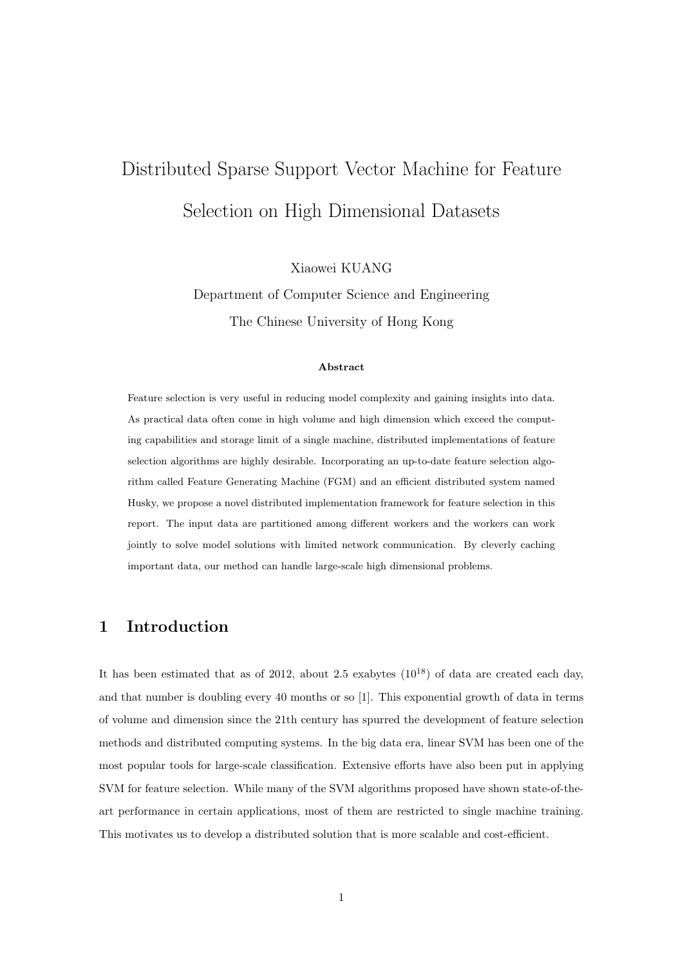# Distributed Sparse Support Vector Machine for Feature Selection on High Dimensional Datasets

Xiaowei KUANG

Department of Computer Science and Engineering The Chinese University of Hong Kong

#### Abstract

Feature selection is very useful in reducing model complexity and gaining insights into data. As practical data often come in high volume and high dimension which exceed the computing capabilities and storage limit of a single machine, distributed implementations of feature selection algorithms are highly desirable. Incorporating an up-to-date feature selection algorithm called Feature Generating Machine (FGM) and an efficient distributed system named Husky, we propose a novel distributed implementation framework for feature selection in this report. The input data are partitioned among different workers and the workers can work jointly to solve model solutions with limited network communication. By cleverly caching important data, our method can handle large-scale high dimensional problems.

# 1 Introduction

It has been estimated that as of 2012, about 2.5 exabytes  $(10^{18})$  of data are created each day, and that number is doubling every 40 months or so [1]. This exponential growth of data in terms of volume and dimension since the 21th century has spurred the development of feature selection methods and distributed computing systems. In the big data era, linear SVM has been one of the most popular tools for large-scale classification. Extensive efforts have also been put in applying SVM for feature selection. While many of the SVM algorithms proposed have shown state-of-theart performance in certain applications, most of them are restricted to single machine training. This motivates us to develop a distributed solution that is more scalable and cost-efficient.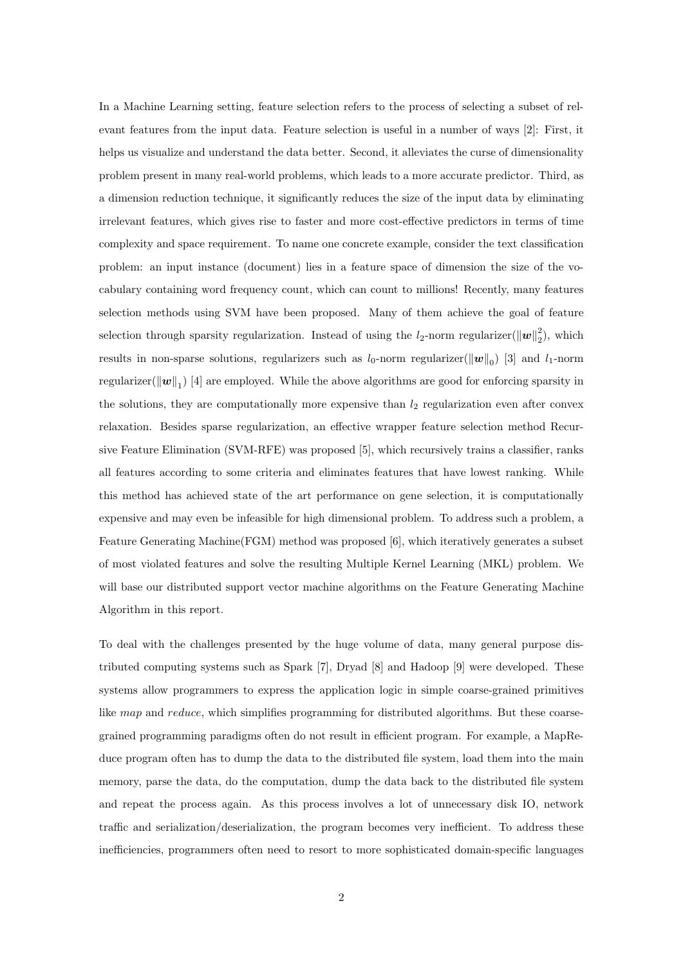In a Machine Learning setting, feature selection refers to the process of selecting a subset of relevant features from the input data. Feature selection is useful in a number of ways [2]: First, it helps us visualize and understand the data better. Second, it alleviates the curse of dimensionality problem present in many real-world problems, which leads to a more accurate predictor. Third, as a dimension reduction technique, it significantly reduces the size of the input data by eliminating irrelevant features, which gives rise to faster and more cost-effective predictors in terms of time complexity and space requirement. To name one concrete example, consider the text classification problem: an input instance (document) lies in a feature space of dimension the size of the vocabulary containing word frequency count, which can count to millions! Recently, many features selection methods using SVM have been proposed. Many of them achieve the goal of feature selection through sparsity regularization. Instead of using the  $l_2$ -norm regularizer( $\|\boldsymbol{w}\|_2^2$ ), which results in non-sparse solutions, regularizers such as  $l_0$ -norm regularizer( $\|\boldsymbol{w}\|_0$ ) [3] and  $l_1$ -norm regularizer( $\|\bm{w}\|_1$ ) [4] are employed. While the above algorithms are good for enforcing sparsity in the solutions, they are computationally more expensive than  $l_2$  regularization even after convex relaxation. Besides sparse regularization, an effective wrapper feature selection method Recursive Feature Elimination (SVM-RFE) was proposed [5], which recursively trains a classifier, ranks all features according to some criteria and eliminates features that have lowest ranking. While this method has achieved state of the art performance on gene selection, it is computationally expensive and may even be infeasible for high dimensional problem. To address such a problem, a Feature Generating Machine(FGM) method was proposed [6], which iteratively generates a subset of most violated features and solve the resulting Multiple Kernel Learning (MKL) problem. We will base our distributed support vector machine algorithms on the Feature Generating Machine Algorithm in this report.

To deal with the challenges presented by the huge volume of data, many general purpose distributed computing systems such as Spark [7], Dryad [8] and Hadoop [9] were developed. These systems allow programmers to express the application logic in simple coarse-grained primitives like map and reduce, which simplifies programming for distributed algorithms. But these coarsegrained programming paradigms often do not result in efficient program. For example, a MapReduce program often has to dump the data to the distributed file system, load them into the main memory, parse the data, do the computation, dump the data back to the distributed file system and repeat the process again. As this process involves a lot of unnecessary disk IO, network traffic and serialization/deserialization, the program becomes very inefficient. To address these inefficiencies, programmers often need to resort to more sophisticated domain-specific languages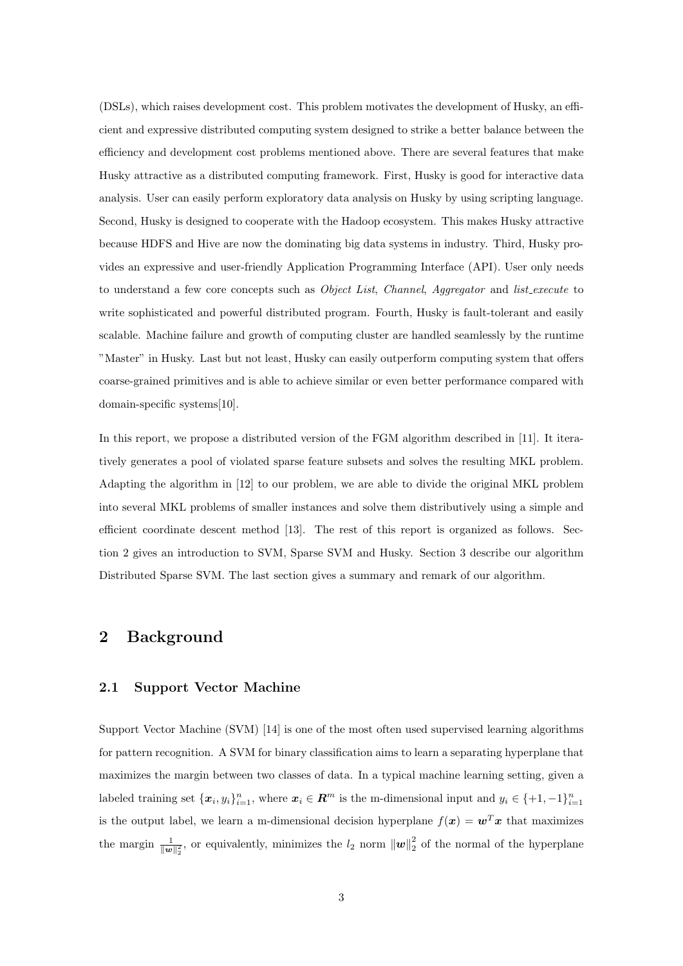(DSLs), which raises development cost. This problem motivates the development of Husky, an efficient and expressive distributed computing system designed to strike a better balance between the efficiency and development cost problems mentioned above. There are several features that make Husky attractive as a distributed computing framework. First, Husky is good for interactive data analysis. User can easily perform exploratory data analysis on Husky by using scripting language. Second, Husky is designed to cooperate with the Hadoop ecosystem. This makes Husky attractive because HDFS and Hive are now the dominating big data systems in industry. Third, Husky provides an expressive and user-friendly Application Programming Interface (API). User only needs to understand a few core concepts such as *Object List*, *Channel*, *Aggregator* and *list\_execute* to write sophisticated and powerful distributed program. Fourth, Husky is fault-tolerant and easily scalable. Machine failure and growth of computing cluster are handled seamlessly by the runtime "Master" in Husky. Last but not least, Husky can easily outperform computing system that offers coarse-grained primitives and is able to achieve similar or even better performance compared with domain-specific systems[10].

In this report, we propose a distributed version of the FGM algorithm described in [11]. It iteratively generates a pool of violated sparse feature subsets and solves the resulting MKL problem. Adapting the algorithm in [12] to our problem, we are able to divide the original MKL problem into several MKL problems of smaller instances and solve them distributively using a simple and efficient coordinate descent method [13]. The rest of this report is organized as follows. Section 2 gives an introduction to SVM, Sparse SVM and Husky. Section 3 describe our algorithm Distributed Sparse SVM. The last section gives a summary and remark of our algorithm.

# 2 Background

# 2.1 Support Vector Machine

Support Vector Machine (SVM) [14] is one of the most often used supervised learning algorithms for pattern recognition. A SVM for binary classification aims to learn a separating hyperplane that maximizes the margin between two classes of data. In a typical machine learning setting, given a labeled training set  $\{x_i, y_i\}_{i=1}^n$ , where  $x_i \in \mathbb{R}^m$  is the m-dimensional input and  $y_i \in \{+1, -1\}_{i=1}^n$ is the output label, we learn a m-dimensional decision hyperplane  $f(x) = w^T x$  that maximizes the margin  $\frac{1}{\|\mathbf{w}\|_2^2}$ , or equivalently, minimizes the  $l_2$  norm  $\|\mathbf{w}\|_2^2$  of the normal of the hyperplane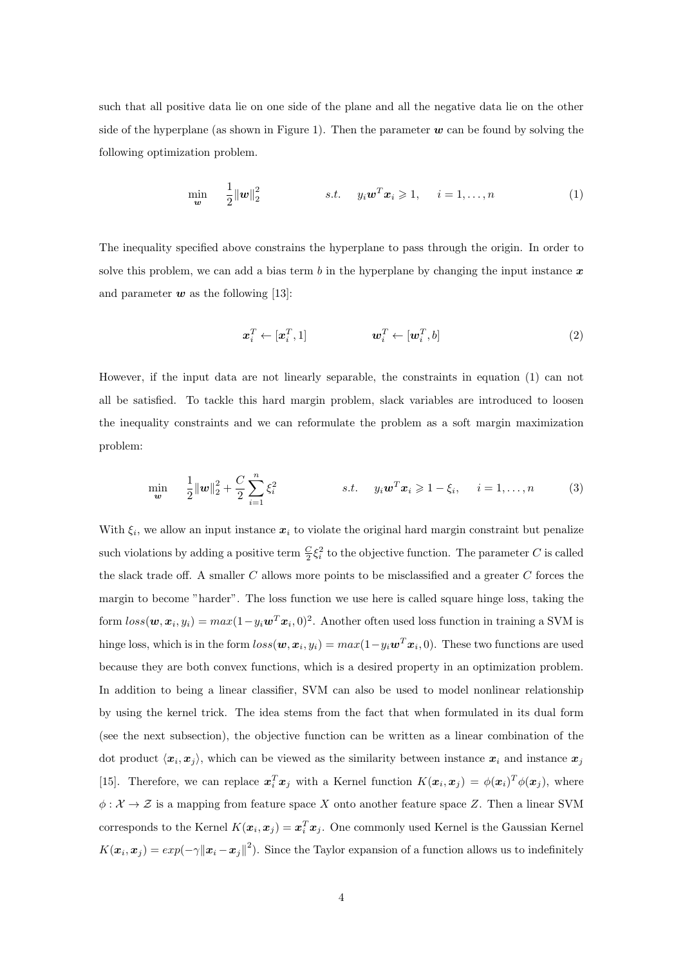such that all positive data lie on one side of the plane and all the negative data lie on the other side of the hyperplane (as shown in Figure 1). Then the parameter  $w$  can be found by solving the following optimization problem.

$$
\min_{\mathbf{w}} \quad \frac{1}{2} \|\mathbf{w}\|_2^2 \qquad s.t. \quad y_i \mathbf{w}^T \mathbf{x}_i \geqslant 1, \quad i = 1, \dots, n \tag{1}
$$

The inequality specified above constrains the hyperplane to pass through the origin. In order to solve this problem, we can add a bias term b in the hyperplane by changing the input instance  $x$ and parameter  $w$  as the following [13]:

$$
\boldsymbol{x}_i^T \leftarrow [\boldsymbol{x}_i^T, 1] \qquad \qquad \boldsymbol{w}_i^T \leftarrow [\boldsymbol{w}_i^T, b] \tag{2}
$$

However, if the input data are not linearly separable, the constraints in equation (1) can not all be satisfied. To tackle this hard margin problem, slack variables are introduced to loosen the inequality constraints and we can reformulate the problem as a soft margin maximization problem:

$$
\min_{\mathbf{w}} \quad \frac{1}{2} ||\mathbf{w}||_2^2 + \frac{C}{2} \sum_{i=1}^n \xi_i^2 \qquad s.t. \quad y_i \mathbf{w}^T \mathbf{x}_i \geq 1 - \xi_i, \quad i = 1, ..., n \qquad (3)
$$

With  $\xi_i$ , we allow an input instance  $x_i$  to violate the original hard margin constraint but penalize such violations by adding a positive term  $\frac{C}{2}\xi_i^2$  to the objective function. The parameter C is called the slack trade off. A smaller  $C$  allows more points to be misclassified and a greater  $C$  forces the margin to become "harder". The loss function we use here is called square hinge loss, taking the form  $loss(w, x_i, y_i) = max(1 - y_i w^T x_i, 0)^2$ . Another often used loss function in training a SVM is hinge loss, which is in the form  $loss(w, x_i, y_i) = max(1 - y_i w^T x_i, 0)$ . These two functions are used because they are both convex functions, which is a desired property in an optimization problem. In addition to being a linear classifier, SVM can also be used to model nonlinear relationship by using the kernel trick. The idea stems from the fact that when formulated in its dual form (see the next subsection), the objective function can be written as a linear combination of the dot product  $\langle x_i, x_j \rangle$ , which can be viewed as the similarity between instance  $x_i$  and instance  $x_j$ [15]. Therefore, we can replace  $x_i^T x_j$  with a Kernel function  $K(x_i, x_j) = \phi(x_i)^T \phi(x_j)$ , where  $\phi: \mathcal{X} \to \mathcal{Z}$  is a mapping from feature space X onto another feature space Z. Then a linear SVM corresponds to the Kernel  $K(\boldsymbol{x}_i, \boldsymbol{x}_j) = \boldsymbol{x}_i^T \boldsymbol{x}_j$ . One commonly used Kernel is the Gaussian Kernel  $K(\bm{x}_i, \bm{x}_j) = exp(-\gamma ||\bm{x}_i - \bm{x}_j||^2)$ . Since the Taylor expansion of a function allows us to indefinitely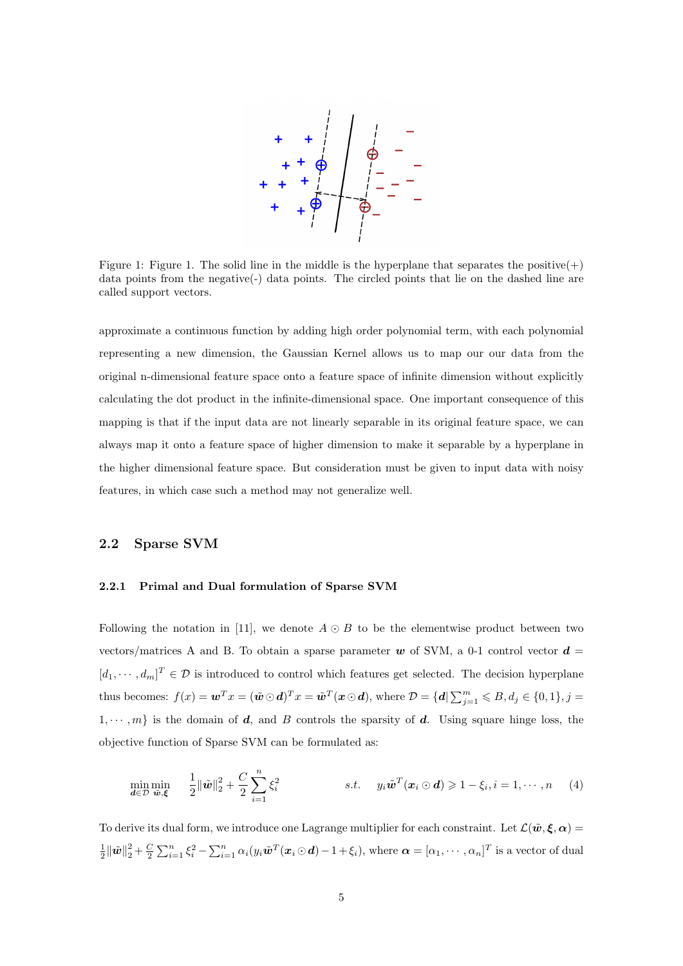

Figure 1: Figure 1. The solid line in the middle is the hyperplane that separates the positive(+) data points from the negative(-) data points. The circled points that lie on the dashed line are called support vectors.

approximate a continuous function by adding high order polynomial term, with each polynomial representing a new dimension, the Gaussian Kernel allows us to map our our data from the original n-dimensional feature space onto a feature space of infinite dimension without explicitly calculating the dot product in the infinite-dimensional space. One important consequence of this mapping is that if the input data are not linearly separable in its original feature space, we can always map it onto a feature space of higher dimension to make it separable by a hyperplane in the higher dimensional feature space. But consideration must be given to input data with noisy features, in which case such a method may not generalize well.

# 2.2 Sparse SVM

# 2.2.1 Primal and Dual formulation of Sparse SVM

Following the notation in [11], we denote  $A \odot B$  to be the elementwise product between two vectors/matrices A and B. To obtain a sparse parameter w of SVM, a 0-1 control vector  $\boldsymbol{d} =$  $[d_1, \dots, d_m]^T \in \mathcal{D}$  is introduced to control which features get selected. The decision hyperplane thus becomes:  $f(x) = \boldsymbol{w}^T x = (\tilde{\boldsymbol{w}} \odot \boldsymbol{d})^T x = \tilde{\boldsymbol{w}}^T (\boldsymbol{x} \odot \boldsymbol{d}), \text{ where } \mathcal{D} = \{ \boldsymbol{d} \vert \sum_{j=1}^m \leqslant B, d_j \in \{0,1\}, j = 1, 2, \ldots, m\}$  $1, \dots, m$  is the domain of d, and B controls the sparsity of d. Using square hinge loss, the objective function of Sparse SVM can be formulated as:

$$
\min_{\mathbf{d}\in\mathcal{D}}\min_{\tilde{\mathbf{w}},\xi} \quad \frac{1}{2}\|\tilde{\mathbf{w}}\|_2^2 + \frac{C}{2}\sum_{i=1}^n\xi_i^2 \qquad s.t. \quad y_i\tilde{\mathbf{w}}^T(\mathbf{x}_i\odot\mathbf{d}) \geqslant 1-\xi_i, i=1,\cdots,n \qquad (4)
$$

To derive its dual form, we introduce one Lagrange multiplier for each constraint. Let  $\mathcal{L}(\tilde{\boldsymbol{w}}, \boldsymbol{\xi}, \boldsymbol{\alpha}) =$  $\frac{1}{2} \|\tilde{\boldsymbol{w}}\|_2^2 + \frac{C}{2} \sum_{i=1}^n \xi_i^2 - \sum_{i=1}^n \alpha_i (y_i \tilde{\boldsymbol{w}}^T(\boldsymbol{x}_i \odot \boldsymbol{d}) - 1 + \xi_i),$  where  $\boldsymbol{\alpha} = [\alpha_1, \cdots, \alpha_n]^T$  is a vector of dual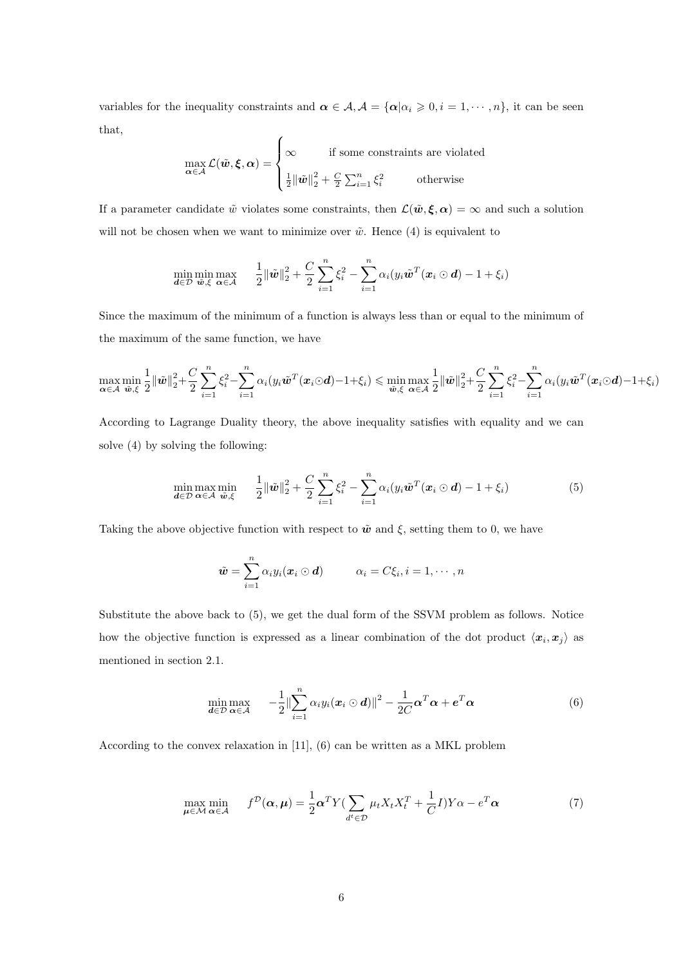variables for the inequality constraints and  $\boldsymbol{\alpha} \in \mathcal{A}, \mathcal{A} = {\alpha | \alpha_i \geqslant 0, i = 1, \cdots, n}$ , it can be seen that,  $\epsilon$ 

$$
\max_{\alpha \in \mathcal{A}} \mathcal{L}(\tilde{\boldsymbol{w}}, \boldsymbol{\xi}, \alpha) = \begin{cases} \infty & \text{if some constraints are violated} \\ \frac{1}{2} {\|\tilde{\boldsymbol{w}}\|_2^2} + \frac{C}{2} \sum_{i=1}^n \xi_i^2 & \text{otherwise} \end{cases}
$$

If a parameter candidate  $\tilde{w}$  violates some constraints, then  $\mathcal{L}(\tilde{w}, \xi, \alpha) = \infty$  and such a solution will not be chosen when we want to minimize over  $\tilde{w}$ . Hence (4) is equivalent to

$$
\min_{\mathbf{d}\in\mathcal{D}}\min_{\tilde{\mathbf{w}},\xi}\max_{\mathbf{\alpha}\in\mathcal{A}} \quad \frac{1}{2}\|\tilde{\mathbf{w}}\|_2^2 + \frac{C}{2}\sum_{i=1}^n\xi_i^2 - \sum_{i=1}^n\alpha_i(y_i\tilde{\mathbf{w}}^T(\mathbf{x}_i\odot\mathbf{d}) - 1 + \xi_i)
$$

Since the maximum of the minimum of a function is always less than or equal to the minimum of the maximum of the same function, we have

$$
\max_{\alpha \in \mathcal{A}} \min_{\tilde{\boldsymbol{\psi}}, \xi} \frac{1}{2} \|\tilde{\boldsymbol{\psi}}\|_2^2 + \frac{C}{2} \sum_{i=1}^n \xi_i^2 - \sum_{i=1}^n \alpha_i (y_i \tilde{\boldsymbol{\psi}}^T(\boldsymbol{x}_i \odot \boldsymbol{d}) - 1 + \xi_i) \leqslant \min_{\tilde{\boldsymbol{\psi}}, \xi} \max_{\alpha \in \mathcal{A}} \frac{1}{2} \|\tilde{\boldsymbol{\psi}}\|_2^2 + \frac{C}{2} \sum_{i=1}^n \xi_i^2 - \sum_{i=1}^n \alpha_i (y_i \tilde{\boldsymbol{\psi}}^T(\boldsymbol{x}_i \odot \boldsymbol{d}) - 1 + \xi_i)
$$

According to Lagrange Duality theory, the above inequality satisfies with equality and we can solve (4) by solving the following:

$$
\min_{\mathbf{d}\in\mathcal{D}}\max_{\mathbf{\alpha}\in\mathcal{A}}\min_{\tilde{\mathbf{\omega}},\xi} \quad \frac{1}{2}\|\tilde{\mathbf{\omega}}\|_{2}^{2}+\frac{C}{2}\sum_{i=1}^{n}\xi_{i}^{2}-\sum_{i=1}^{n}\alpha_{i}(y_{i}\tilde{\mathbf{\omega}}^{T}(\mathbf{x}_{i}\odot\mathbf{d})-1+\xi_{i})
$$
(5)

Taking the above objective function with respect to  $\tilde{\boldsymbol{w}}$  and  $\xi$ , setting them to 0, we have

$$
\tilde{\boldsymbol{w}} = \sum_{i=1}^n \alpha_i y_i (\boldsymbol{x}_i \odot \boldsymbol{d}) \qquad \alpha_i = C \xi_i, i = 1, \cdots, n
$$

Substitute the above back to (5), we get the dual form of the SSVM problem as follows. Notice how the objective function is expressed as a linear combination of the dot product  $\langle x_i, x_j \rangle$  as mentioned in section 2.1.

$$
\min_{\mathbf{d}\in\mathcal{D}} \max_{\mathbf{\alpha}\in\mathcal{A}} \quad -\frac{1}{2} \|\sum_{i=1}^{n} \alpha_i y_i (\mathbf{x}_i \odot \mathbf{d})\|^2 - \frac{1}{2C} \mathbf{\alpha}^T \mathbf{\alpha} + \mathbf{e}^T \mathbf{\alpha} \tag{6}
$$

According to the convex relaxation in [11], (6) can be written as a MKL problem

$$
\max_{\mu \in \mathcal{M}} \min_{\alpha \in \mathcal{A}} f^{\mathcal{D}}(\alpha, \mu) = \frac{1}{2} \alpha^{T} Y \left( \sum_{d^{t} \in \mathcal{D}} \mu_{t} X_{t} X_{t}^{T} + \frac{1}{C} I \right) Y \alpha - e^{T} \alpha \tag{7}
$$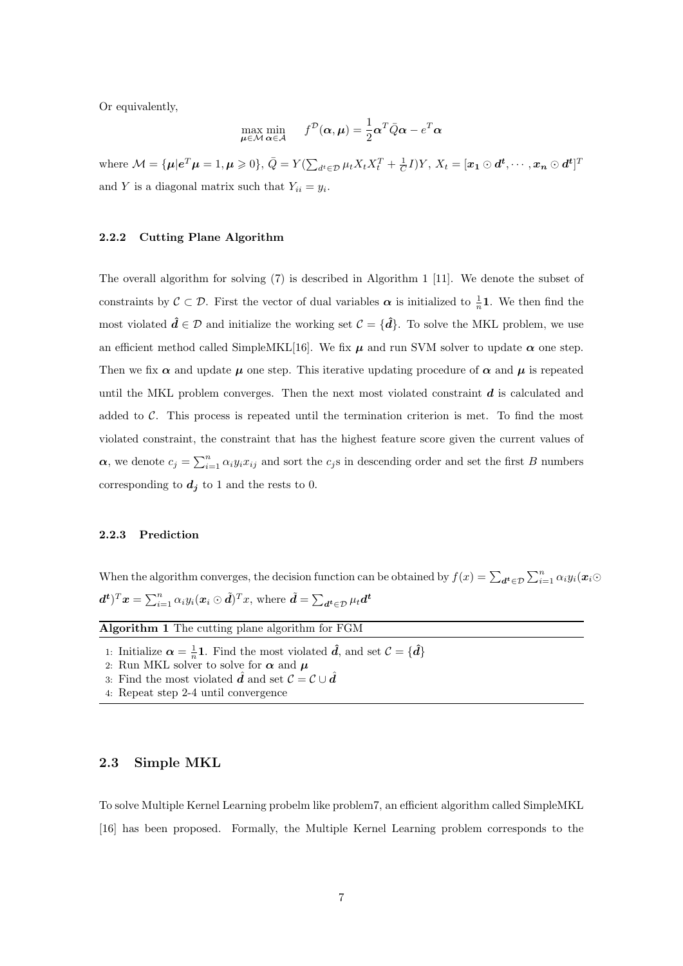Or equivalently,

$$
\max_{\boldsymbol{\mu} \in \mathcal{M}} \min_{\boldsymbol{\alpha} \in \mathcal{A}} f^{\mathcal{D}}(\boldsymbol{\alpha}, \boldsymbol{\mu}) = \frac{1}{2} \boldsymbol{\alpha}^{T} \bar{Q} \boldsymbol{\alpha} - e^{T} \boldsymbol{\alpha}
$$

where  $\mathcal{M} = \{ \boldsymbol{\mu} | \boldsymbol{e}^T \boldsymbol{\mu} = 1, \boldsymbol{\mu} \geqslant 0 \}, \bar{Q} = Y (\sum_{d^t \in \mathcal{D}} \mu_t X_t X_t^T + \frac{1}{C} I) Y, X_t = [\boldsymbol{x_1} \odot \boldsymbol{d^t}, \cdots, \boldsymbol{x_n} \odot \boldsymbol{d^t}]^T$ and Y is a diagonal matrix such that  $Y_{ii} = y_i$ .

#### 2.2.2 Cutting Plane Algorithm

The overall algorithm for solving (7) is described in Algorithm 1 [11]. We denote the subset of constraints by  $\mathcal{C} \subset \mathcal{D}$ . First the vector of dual variables  $\alpha$  is initialized to  $\frac{1}{n}$ **1**. We then find the most violated  $\hat{d} \in \mathcal{D}$  and initialize the working set  $\mathcal{C} = {\hat{d}}$ . To solve the MKL problem, we use an efficient method called SimpleMKL[16]. We fix  $\mu$  and run SVM solver to update  $\alpha$  one step. Then we fix  $\alpha$  and update  $\mu$  one step. This iterative updating procedure of  $\alpha$  and  $\mu$  is repeated until the MKL problem converges. Then the next most violated constraint  $d$  is calculated and added to  $\mathcal{C}$ . This process is repeated until the termination criterion is met. To find the most violated constraint, the constraint that has the highest feature score given the current values of  $\alpha$ , we denote  $c_j = \sum_{i=1}^n \alpha_i y_i x_{ij}$  and sort the  $c_j$ s in descending order and set the first B numbers corresponding to  $d_j$  to 1 and the rests to 0.

# 2.2.3 Prediction

When the algorithm converges, the decision function can be obtained by  $f(x) = \sum_{d^t \in \mathcal{D}} \sum_{i=1}^n \alpha_i y_i(x_i \odot x_i)$  $(\bm{d^t})^T\bm{x} = \sum_{i=1}^n \alpha_i y_i (\bm{x}_i \odot \tilde{\bm{d}})^T x,$  where  $\tilde{\bm{d}} = \sum_{\bm{d^t} \in \mathcal{D}} \mu_t \bm{d^t}$ 

| <b>Algorithm 1</b> The cutting plane algorithm for FGM                                           |  |
|--------------------------------------------------------------------------------------------------|--|
| 1. Initialize $\alpha$ 11. Eind the meet violeted $\hat{J}$ and $\alpha t$ $\beta$ ( $\hat{J}$ ) |  |

1: Initialize  $\alpha = \frac{1}{n} \mathbf{1}$ . Find the most violated  $\hat{d}$ , and set  $\mathcal{C} = {\hat{d}}$ 

2: Run MKL solver to solve for  $\alpha$  and  $\mu$ 

- 3: Find the most violated  $\hat{d}$  and set  $\mathcal{C} = \mathcal{C} \cup \hat{d}$
- 4: Repeat step 2-4 until convergence

# 2.3 Simple MKL

To solve Multiple Kernel Learning probelm like problem7, an efficient algorithm called SimpleMKL [16] has been proposed. Formally, the Multiple Kernel Learning problem corresponds to the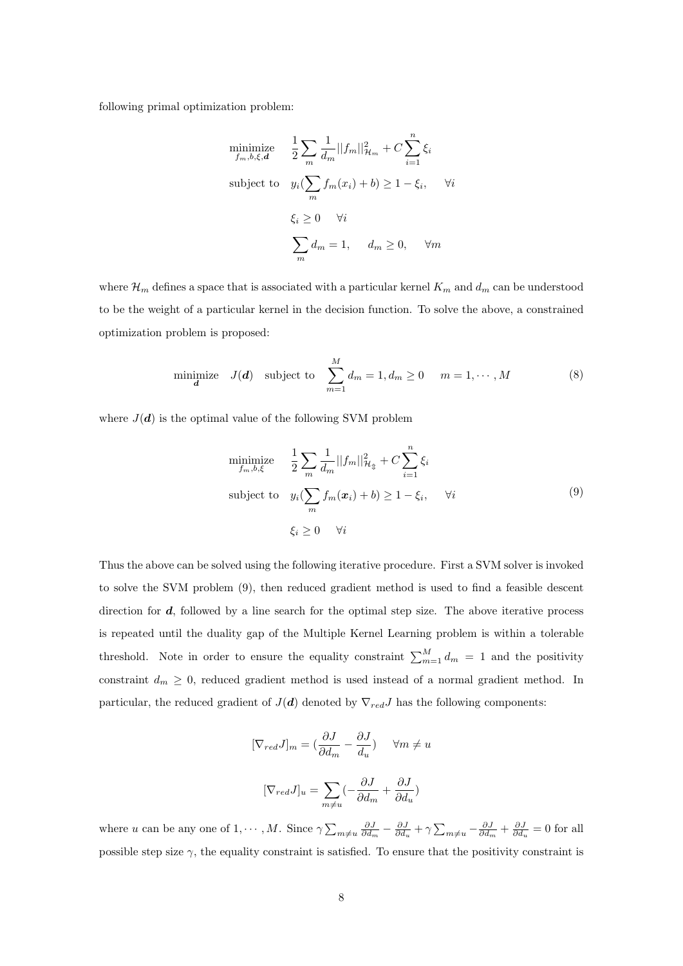following primal optimization problem:

$$
\begin{aligned}\n\underset{f_m, b, \xi, \mathbf{d}}{\text{minimize}} & \quad \frac{1}{2} \sum_m \frac{1}{d_m} ||f_m||_{\mathcal{H}_m}^2 + C \sum_{i=1}^n \xi_i \\
\text{subject to} & \quad y_i(\sum_m f_m(x_i) + b) \ge 1 - \xi_i, \qquad \forall i \\
& \quad \xi_i \ge 0 \qquad \forall i \\
& \quad \sum_m d_m = 1, \qquad d_m \ge 0, \qquad \forall m\n\end{aligned}
$$

where  $\mathcal{H}_m$  defines a space that is associated with a particular kernel  $K_m$  and  $d_m$  can be understood to be the weight of a particular kernel in the decision function. To solve the above, a constrained optimization problem is proposed:

minimize 
$$
J(\boldsymbol{d})
$$
 subject to  $\sum_{m=1}^{M} d_m = 1, d_m \ge 0$   $m = 1, \dots, M$  (8)

where  $J(\boldsymbol{d})$  is the optimal value of the following SVM problem

$$
\begin{aligned}\n\min_{f_m, b, \xi} \text{minimize} & \frac{1}{2} \sum_m \frac{1}{d_m} ||f_m||_{\mathcal{H}_{\mathfrak{P}}}^2 + C \sum_{i=1}^n \xi_i \\
\text{subject to} & y_i(\sum_m f_m(\mathbf{x}_i) + b) \ge 1 - \xi_i, \quad \forall i \\
& \xi_i \ge 0 \quad \forall i\n\end{aligned} \tag{9}
$$

Thus the above can be solved using the following iterative procedure. First a SVM solver is invoked to solve the SVM problem (9), then reduced gradient method is used to find a feasible descent direction for  $d$ , followed by a line search for the optimal step size. The above iterative process is repeated until the duality gap of the Multiple Kernel Learning problem is within a tolerable threshold. Note in order to ensure the equality constraint  $\sum_{m=1}^{M} d_m = 1$  and the positivity constraint  $d_m \geq 0$ , reduced gradient method is used instead of a normal gradient method. In particular, the reduced gradient of  $J(\boldsymbol{d})$  denoted by  $\nabla_{red}J$  has the following components:

$$
[\nabla_{red} J]_m = (\frac{\partial J}{\partial d_m} - \frac{\partial J}{d_u}) \quad \forall m \neq u
$$

$$
[\nabla_{red} J]_u = \sum_{m \neq u} (-\frac{\partial J}{\partial d_m} + \frac{\partial J}{\partial d_u})
$$

where u can be any one of  $1, \dots, M$ . Since  $\gamma \sum_{m \neq u} \frac{\partial J}{\partial d_m} - \frac{\partial J}{\partial d_u} + \gamma \sum_{m \neq u} -\frac{\partial J}{\partial d_m} + \frac{\partial J}{\partial d_u} = 0$  for all possible step size  $\gamma$ , the equality constraint is satisfied. To ensure that the positivity constraint is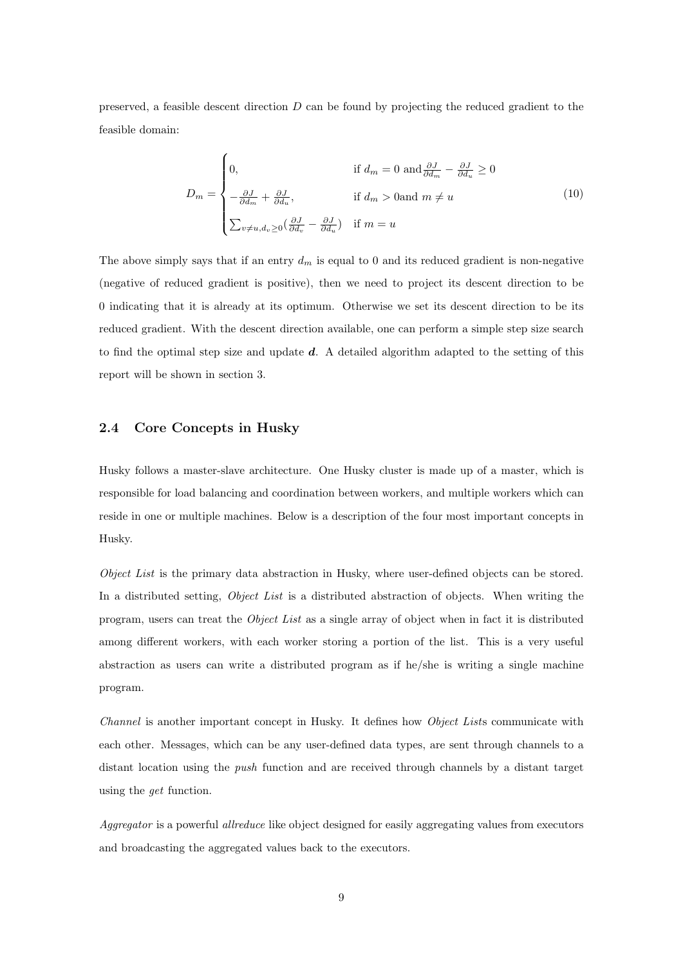preserved, a feasible descent direction D can be found by projecting the reduced gradient to the feasible domain:

$$
D_m = \begin{cases} 0, & \text{if } d_m = 0 \text{ and } \frac{\partial J}{\partial d_m} - \frac{\partial J}{\partial d_u} \ge 0 \\ -\frac{\partial J}{\partial d_m} + \frac{\partial J}{\partial d_u}, & \text{if } d_m > 0 \text{and } m \ne u \\ \sum_{v \ne u, d_v \ge 0} (\frac{\partial J}{\partial d_v} - \frac{\partial J}{\partial d_u}) & \text{if } m = u \end{cases}
$$
(10)

The above simply says that if an entry  $d_m$  is equal to 0 and its reduced gradient is non-negative (negative of reduced gradient is positive), then we need to project its descent direction to be 0 indicating that it is already at its optimum. Otherwise we set its descent direction to be its reduced gradient. With the descent direction available, one can perform a simple step size search to find the optimal step size and update  $d$ . A detailed algorithm adapted to the setting of this report will be shown in section 3.

## 2.4 Core Concepts in Husky

Husky follows a master-slave architecture. One Husky cluster is made up of a master, which is responsible for load balancing and coordination between workers, and multiple workers which can reside in one or multiple machines. Below is a description of the four most important concepts in Husky.

Object List is the primary data abstraction in Husky, where user-defined objects can be stored. In a distributed setting, Object List is a distributed abstraction of objects. When writing the program, users can treat the Object List as a single array of object when in fact it is distributed among different workers, with each worker storing a portion of the list. This is a very useful abstraction as users can write a distributed program as if he/she is writing a single machine program.

Channel is another important concept in Husky. It defines how Object Lists communicate with each other. Messages, which can be any user-defined data types, are sent through channels to a distant location using the push function and are received through channels by a distant target using the get function.

Aggregator is a powerful allreduce like object designed for easily aggregating values from executors and broadcasting the aggregated values back to the executors.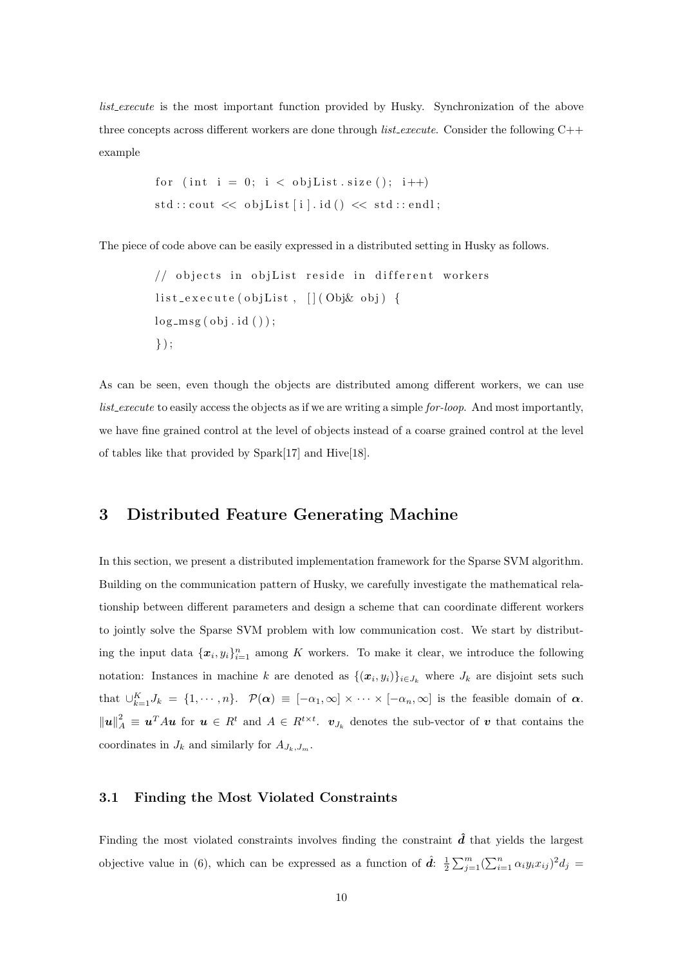list execute is the most important function provided by Husky. Synchronization of the above three concepts across different workers are done through *list\_execute*. Consider the following C++ example

f o r ( i n t i = 0 ; i < o b j L i s t . s i z e ( ) ; i++) s t d : : c ou t << o b j L i s t [ i ] . i d ( ) << s t d : : e n dl ;

The piece of code above can be easily expressed in a distributed setting in Husky as follows.

// o b j e c t s i n o b j L i s t r e s i d e i n d i f f e r e n t w o rke r s l i s t e x e c u t e ( o b j Li s t , [ ] ( Obj& ob j ) { l o g m s g ( ob j . i d ( ) ) ; } ) ;

As can be seen, even though the objects are distributed among different workers, we can use list execute to easily access the objects as if we are writing a simple for-loop. And most importantly, we have fine grained control at the level of objects instead of a coarse grained control at the level of tables like that provided by Spark[17] and Hive[18].

# 3 Distributed Feature Generating Machine

In this section, we present a distributed implementation framework for the Sparse SVM algorithm. Building on the communication pattern of Husky, we carefully investigate the mathematical relationship between different parameters and design a scheme that can coordinate different workers to jointly solve the Sparse SVM problem with low communication cost. We start by distributing the input data  $\{x_i, y_i\}_{i=1}^n$  among K workers. To make it clear, we introduce the following notation: Instances in machine k are denoted as  $\{(\bm{x}_i, y_i)\}_{i \in J_k}$  where  $J_k$  are disjoint sets such that  $\cup_{k=1}^K J_k = \{1, \dots, n\}$ .  $\mathcal{P}(\alpha) \equiv [-\alpha_1, \infty] \times \dots \times [-\alpha_n, \infty]$  is the feasible domain of  $\alpha$ .  $||u||_A^2 \equiv u^T A u$  for  $u \in R^t$  and  $A \in R^{t \times t}$ .  $v_{J_k}$  denotes the sub-vector of v that contains the coordinates in  $J_k$  and similarly for  $A_{J_k,J_m}$ .

# 3.1 Finding the Most Violated Constraints

Finding the most violated constraints involves finding the constraint  $\hat{d}$  that yields the largest objective value in (6), which can be expressed as a function of  $\hat{d}$ :  $\frac{1}{2} \sum_{j=1}^{m} (\sum_{i=1}^{n} \alpha_i y_i x_{ij})^2 d_j =$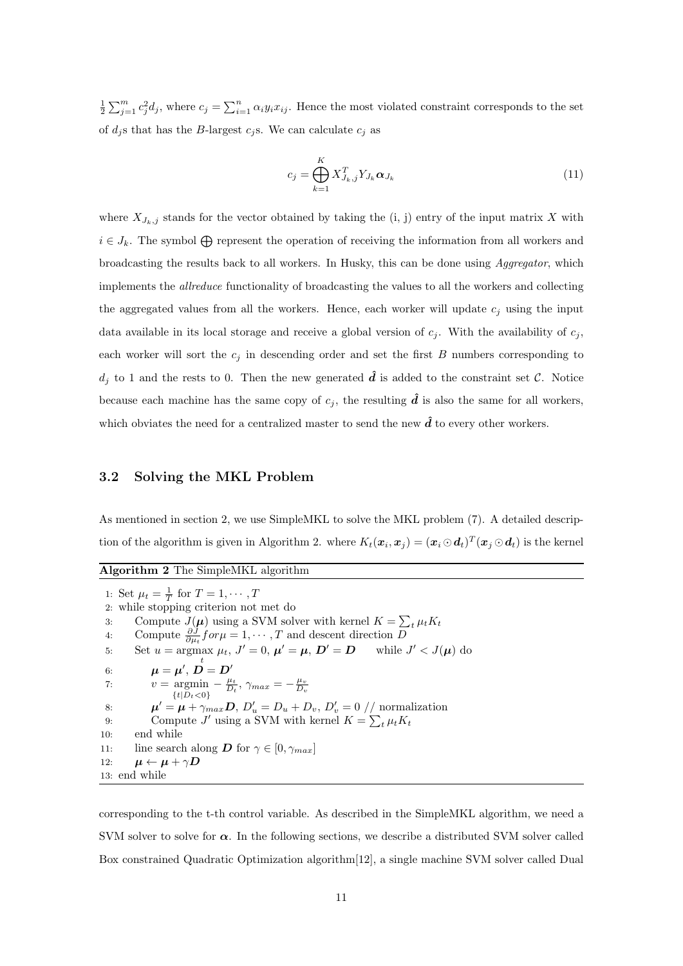$\frac{1}{2}\sum_{j=1}^m c_j^2 d_j$ , where  $c_j = \sum_{i=1}^n \alpha_i y_i x_{ij}$ . Hence the most violated constraint corresponds to the set of  $d_i$ s that has the B-largest  $c_j$ s. We can calculate  $c_j$  as

$$
c_j = \bigoplus_{k=1}^{K} X_{J_k,j}^T Y_{J_k} \alpha_{J_k}
$$
\n(11)

where  $X_{J_k,j}$  stands for the vector obtained by taking the (i, j) entry of the input matrix X with  $i \in J_k$ . The symbol  $\bigoplus$  represent the operation of receiving the information from all workers and broadcasting the results back to all workers. In Husky, this can be done using Aggregator, which implements the allreduce functionality of broadcasting the values to all the workers and collecting the aggregated values from all the workers. Hence, each worker will update  $c_i$  using the input data available in its local storage and receive a global version of  $c_i$ . With the availability of  $c_j$ , each worker will sort the  $c_j$  in descending order and set the first  $B$  numbers corresponding to  $d_i$  to 1 and the rests to 0. Then the new generated  $\hat{d}$  is added to the constraint set C. Notice because each machine has the same copy of  $c_j$ , the resulting  $\hat{d}$  is also the same for all workers, which obviates the need for a centralized master to send the new  $\hat{d}$  to every other workers.

# 3.2 Solving the MKL Problem

As mentioned in section 2, we use SimpleMKL to solve the MKL problem (7). A detailed description of the algorithm is given in Algorithm 2. where  $K_t(\bm{x}_i, \bm{x}_j) = (\bm{x}_i \odot \bm{d}_t)^T (\bm{x}_j \odot \bm{d}_t)$  is the kernel

Algorithm 2 The SimpleMKL algorithm 1: Set  $\mu_t = \frac{1}{T}$  for  $T = 1, \cdots, T$ 2: while stopping criterion not met do 3: Compute  $J(\mu)$  using a SVM solver with kernel  $K = \sum_t \mu_t K_t$ 4: Compute  $\frac{\partial J}{\partial \mu_i}$  for  $\mu = 1, \dots, T$  and descent direction  $\overline{D}$ 5: Set  $u = \argmax \mu_t$ ,  $J' = 0$ ,  $\mu' = \mu$ ,  $D' = D$  while  $J' < J(\mu)$  do 6:  $\boldsymbol{\mu} = \boldsymbol{\mu}^{\prime}, \, \boldsymbol{\mathop{D}\limits^{t}} = \boldsymbol{D}^{\prime}$ 7:  $v = \text{argmin}$  $\{t|D_t<0\}$  $-\frac{\mu_t}{D_t}, \gamma_{max} = -\frac{\mu_v}{D_v}$ 8:  $\mu' = \mu + \gamma_{max} D$ ,  $D'_u = D_u + D_v$ ,  $D'_v = 0 \text{ // normalization}$ 9: Compute  $J'$  using a SVM with kernel  $K = \sum_t \mu_t K_t$ 10: end while 11: line search along **D** for  $\gamma \in [0, \gamma_{max}]$ 12:  $\mu \leftarrow \mu + \gamma D$ 13: end while

corresponding to the t-th control variable. As described in the SimpleMKL algorithm, we need a SVM solver to solve for  $\alpha$ . In the following sections, we describe a distributed SVM solver called Box constrained Quadratic Optimization algorithm[12], a single machine SVM solver called Dual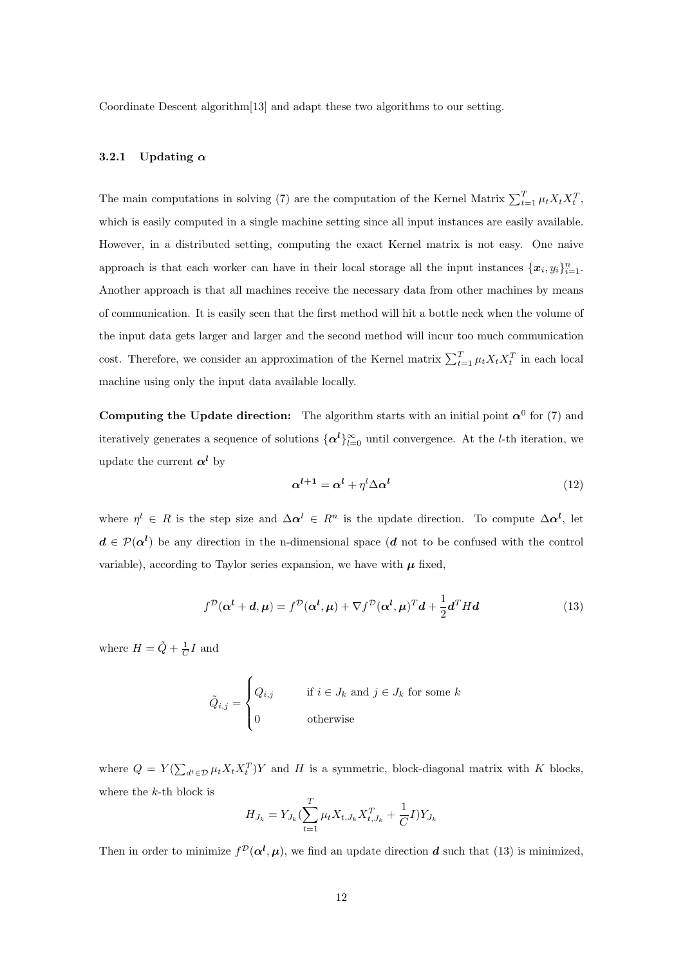Coordinate Descent algorithm[13] and adapt these two algorithms to our setting.

## 3.2.1 Updating  $\alpha$

The main computations in solving (7) are the computation of the Kernel Matrix  $\sum_{t=1}^{T} \mu_t X_t X_t^T$ , which is easily computed in a single machine setting since all input instances are easily available. However, in a distributed setting, computing the exact Kernel matrix is not easy. One naive approach is that each worker can have in their local storage all the input instances  $\{x_i, y_i\}_{i=1}^n$ . Another approach is that all machines receive the necessary data from other machines by means of communication. It is easily seen that the first method will hit a bottle neck when the volume of the input data gets larger and larger and the second method will incur too much communication cost. Therefore, we consider an approximation of the Kernel matrix  $\sum_{t=1}^{T} \mu_t X_t X_t^T$  in each local machine using only the input data available locally.

**Computing the Update direction:** The algorithm starts with an initial point  $\alpha^0$  for (7) and iteratively generates a sequence of solutions  $\{\alpha^l\}_{l=0}^{\infty}$  until convergence. At the *l*-th iteration, we update the current  $\alpha^l$  by

$$
\alpha^{l+1} = \alpha^l + \eta^l \Delta \alpha^l \tag{12}
$$

where  $\eta^l \in R$  is the step size and  $\Delta \alpha^l \in R^n$  is the update direction. To compute  $\Delta \alpha^l$ , let  $d \in \mathcal{P}(\alpha^l)$  be any direction in the n-dimensional space (d not to be confused with the control variable), according to Taylor series expansion, we have with  $\mu$  fixed,

$$
f^{\mathcal{D}}(\boldsymbol{\alpha}^{l} + \boldsymbol{d}, \boldsymbol{\mu}) = f^{\mathcal{D}}(\boldsymbol{\alpha}^{l}, \boldsymbol{\mu}) + \nabla f^{\mathcal{D}}(\boldsymbol{\alpha}^{l}, \boldsymbol{\mu})^{T} \boldsymbol{d} + \frac{1}{2} \boldsymbol{d}^{T} H \boldsymbol{d}
$$
(13)

where  $H = \tilde{Q} + \frac{1}{C}I$  and

$$
\tilde{Q}_{i,j} = \begin{cases} Q_{i,j} & \text{if } i \in J_k \text{ and } j \in J_k \text{ for some } k \\ 0 & \text{otherwise} \end{cases}
$$

where  $Q = Y(\sum_{d^t \in \mathcal{D}} \mu_t X_t X_t^T) Y$  and H is a symmetric, block-diagonal matrix with K blocks, where the k-th block is

$$
H_{J_k} = Y_{J_k} (\sum_{t=1}^T \mu_t X_{t,J_k} X_{t,J_k}^T + \frac{1}{C} I) Y_{J_k}
$$

Then in order to minimize  $f^{\mathcal{D}}(\alpha^l, \mu)$ , we find an update direction d such that (13) is minimized,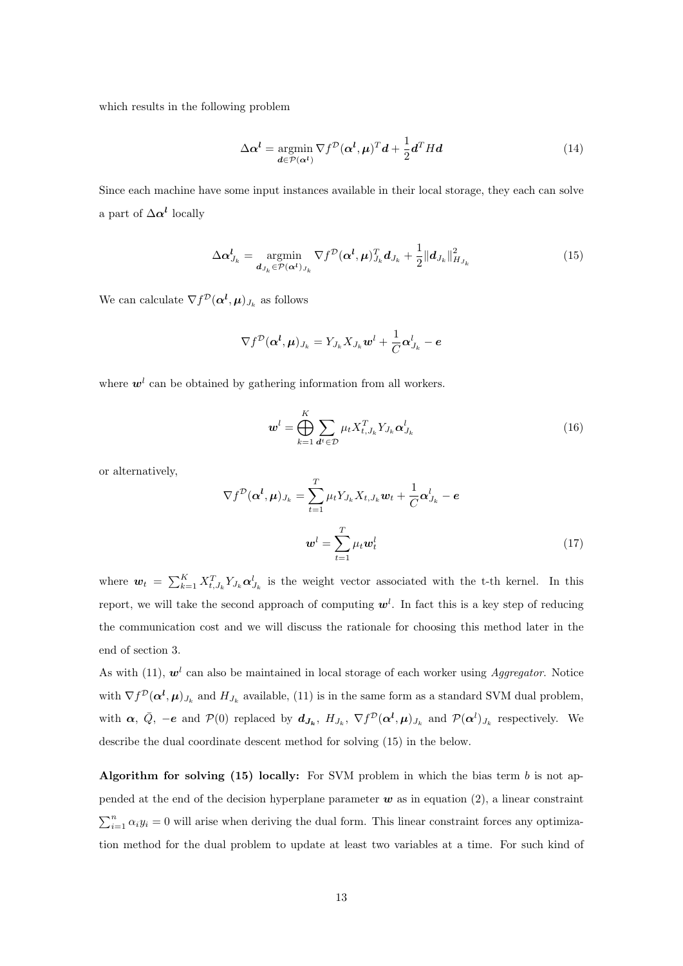which results in the following problem

$$
\Delta \alpha^l = \underset{\mathbf{d} \in \mathcal{P}(\alpha^l)}{\operatorname{argmin}} \nabla f^{\mathcal{D}}(\alpha^l, \mu)^T \mathbf{d} + \frac{1}{2} \mathbf{d}^T H \mathbf{d}
$$
(14)

Since each machine have some input instances available in their local storage, they each can solve a part of  $\Delta \alpha^l$  locally

$$
\Delta \boldsymbol{\alpha}_{J_k}^l = \underset{\boldsymbol{d}_{J_k} \in \mathcal{P}(\boldsymbol{\alpha}^l)_{J_k}}{\operatorname{argmin}} \nabla f^{\mathcal{D}}(\boldsymbol{\alpha}^l, \boldsymbol{\mu})_{J_k}^T \boldsymbol{d}_{J_k} + \frac{1}{2} ||\boldsymbol{d}_{J_k}||_{H_{J_k}}^2
$$
(15)

We can calculate  $\nabla f^{\mathcal{D}}(\boldsymbol{\alpha}^{\boldsymbol{l}},\boldsymbol{\mu})_{J_k}$  as follows

$$
\nabla f^{\mathcal{D}}(\boldsymbol{\alpha}^{l}, \boldsymbol{\mu})_{J_k} = Y_{J_k} X_{J_k} \boldsymbol{w}^{l} + \frac{1}{C} \boldsymbol{\alpha}^{l}_{J_k} - \boldsymbol{e}
$$

where  $w<sup>l</sup>$  can be obtained by gathering information from all workers.

$$
\boldsymbol{w}^{l} = \bigoplus_{k=1}^{K} \sum_{\boldsymbol{d}^{t} \in \mathcal{D}} \mu_{t} X_{t,J_{k}}^{T} Y_{J_{k}} \boldsymbol{\alpha}_{J_{k}}^{l}
$$
(16)

or alternatively,

$$
\nabla f^{\mathcal{D}}(\boldsymbol{\alpha}^{l}, \boldsymbol{\mu})_{J_{k}} = \sum_{t=1}^{T} \mu_{t} Y_{J_{k}} X_{t, J_{k}} \boldsymbol{w}_{t} + \frac{1}{C} \boldsymbol{\alpha}^{l}_{J_{k}} - \boldsymbol{e}
$$

$$
\boldsymbol{w}^{l} = \sum_{t=1}^{T} \mu_{t} \boldsymbol{w}_{t}^{l}
$$
(17)

where  $\mathbf{w}_t = \sum_{k=1}^K X_{t,J_k}^T Y_{J_k} \alpha_{J_k}^l$  is the weight vector associated with the t-th kernel. In this report, we will take the second approach of computing  $w^l$ . In fact this is a key step of reducing the communication cost and we will discuss the rationale for choosing this method later in the end of section 3.

As with (11),  $w<sup>l</sup>$  can also be maintained in local storage of each worker using *Aggregator*. Notice with  $\nabla f^{\mathcal{D}}(\boldsymbol{\alpha}^{l}, \boldsymbol{\mu})_{J_k}$  and  $H_{J_k}$  available, (11) is in the same form as a standard SVM dual problem, with  $\alpha$ ,  $\overline{Q}$ ,  $-e$  and  $\mathcal{P}(0)$  replaced by  $d_{J_k}$ ,  $H_{J_k}$ ,  $\nabla f^{\mathcal{D}}(\alpha^l, \mu)_{J_k}$  and  $\mathcal{P}(\alpha^l)_{J_k}$  respectively. We describe the dual coordinate descent method for solving (15) in the below.

Algorithm for solving (15) locally: For SVM problem in which the bias term  $b$  is not appended at the end of the decision hyperplane parameter  $w$  as in equation (2), a linear constraint  $\sum_{i=1}^{n} \alpha_i y_i = 0$  will arise when deriving the dual form. This linear constraint forces any optimization method for the dual problem to update at least two variables at a time. For such kind of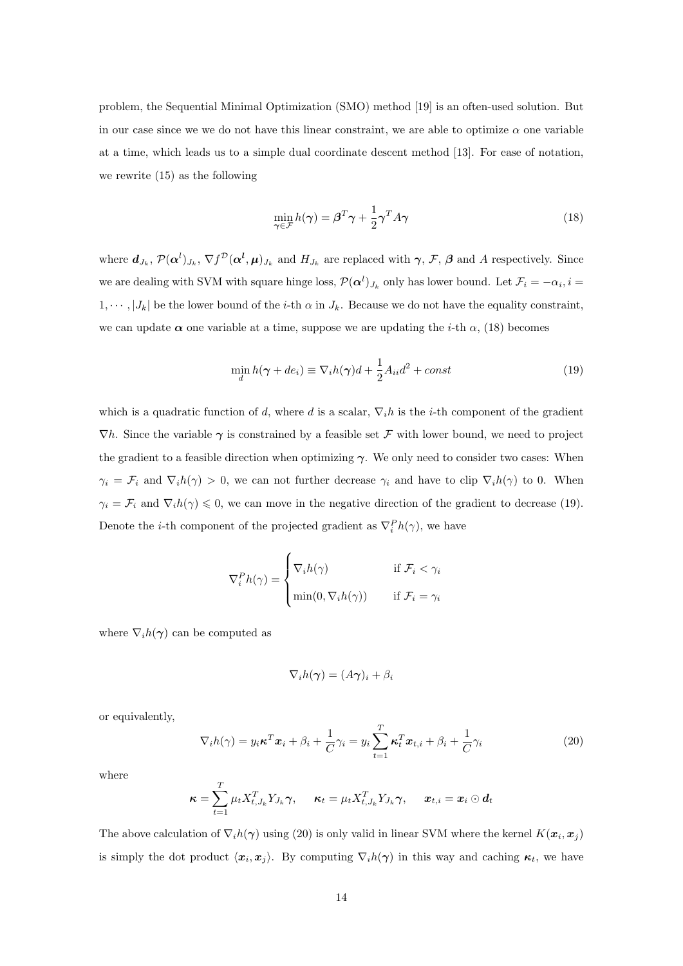problem, the Sequential Minimal Optimization (SMO) method [19] is an often-used solution. But in our case since we we do not have this linear constraint, we are able to optimize  $\alpha$  one variable at a time, which leads us to a simple dual coordinate descent method [13]. For ease of notation, we rewrite (15) as the following

$$
\min_{\gamma \in \mathcal{F}} h(\gamma) = \beta^T \gamma + \frac{1}{2} \gamma^T A \gamma \tag{18}
$$

where  $d_{J_k}$ ,  $\mathcal{P}(\alpha^l)_{J_k}$ ,  $\nabla f^{\mathcal{D}}(\alpha^l, \mu)_{J_k}$  and  $H_{J_k}$  are replaced with  $\gamma$ ,  $\mathcal{F}$ ,  $\beta$  and A respectively. Since we are dealing with SVM with square hinge loss,  $\mathcal{P}(\boldsymbol{\alpha}^{l})_{J_k}$  only has lower bound. Let  $\mathcal{F}_i = -\alpha_i, i =$  $1, \dots, |J_k|$  be the lower bound of the *i*-th  $\alpha$  in  $J_k$ . Because we do not have the equality constraint, we can update  $\alpha$  one variable at a time, suppose we are updating the *i*-th  $\alpha$ , (18) becomes

$$
\min_{d} h(\gamma + de_i) \equiv \nabla_i h(\gamma)d + \frac{1}{2}A_{ii}d^2 + const
$$
\n(19)

which is a quadratic function of d, where d is a scalar,  $\nabla_i h$  is the i-th component of the gradient  $\nabla h$ . Since the variable  $\gamma$  is constrained by a feasible set F with lower bound, we need to project the gradient to a feasible direction when optimizing  $\gamma$ . We only need to consider two cases: When  $\gamma_i = \mathcal{F}_i$  and  $\nabla_i h(\gamma) > 0$ , we can not further decrease  $\gamma_i$  and have to clip  $\nabla_i h(\gamma)$  to 0. When  $\gamma_i = \mathcal{F}_i$  and  $\nabla_i h(\gamma) \leq 0$ , we can move in the negative direction of the gradient to decrease (19). Denote the *i*-th component of the projected gradient as  $\nabla_i^P h(\gamma)$ , we have

$$
\nabla_i^P h(\gamma) = \begin{cases} \nabla_i h(\gamma) & \text{if } \mathcal{F}_i < \gamma_i \\ \min(0, \nabla_i h(\gamma)) & \text{if } \mathcal{F}_i = \gamma_i \end{cases}
$$

where  $\nabla_i h(\gamma)$  can be computed as

$$
\nabla_i h(\boldsymbol{\gamma}) = (A\boldsymbol{\gamma})_i + \beta_i
$$

or equivalently,

$$
\nabla_i h(\gamma) = y_i \boldsymbol{\kappa}^T \boldsymbol{x}_i + \beta_i + \frac{1}{C} \gamma_i = y_i \sum_{t=1}^T \boldsymbol{\kappa}_t^T \boldsymbol{x}_{t,i} + \beta_i + \frac{1}{C} \gamma_i
$$
\n(20)

where

$$
\boldsymbol{\kappa} = \sum_{t=1}^T \mu_t X_{t,J_k}^T Y_{J_k} \boldsymbol{\gamma}, \quad \boldsymbol{\kappa}_t = \mu_t X_{t,J_k}^T Y_{J_k} \boldsymbol{\gamma}, \quad \boldsymbol{x}_{t,i} = \boldsymbol{x}_i \odot \boldsymbol{d}_t
$$

The above calculation of  $\nabla_i h(\gamma)$  using (20) is only valid in linear SVM where the kernel  $K(\bm{x}_i, \bm{x}_j)$ is simply the dot product  $\langle x_i, x_j \rangle$ . By computing  $\nabla_i h(\gamma)$  in this way and caching  $\kappa_t$ , we have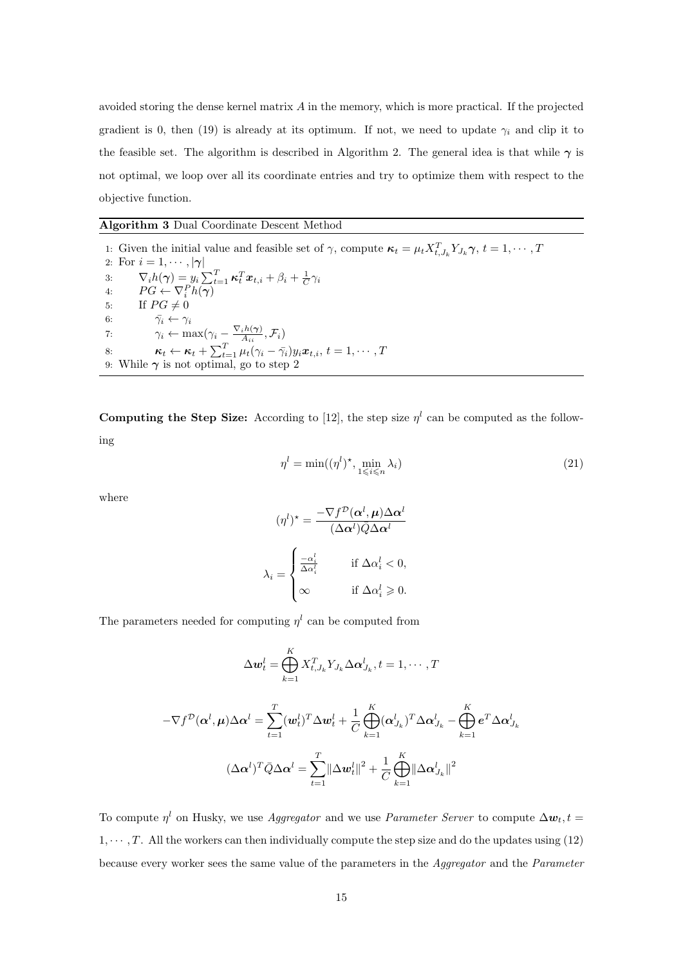avoided storing the dense kernel matrix A in the memory, which is more practical. If the projected gradient is 0, then (19) is already at its optimum. If not, we need to update  $\gamma_i$  and clip it to the feasible set. The algorithm is described in Algorithm 2. The general idea is that while  $\gamma$  is not optimal, we loop over all its coordinate entries and try to optimize them with respect to the objective function.

## Algorithm 3 Dual Coordinate Descent Method

1: Given the initial value and feasible set of  $\gamma$ , compute  $\kappa_t = \mu_t X_{t,J_k}^T Y_{J_k} \gamma$ ,  $t = 1, \cdots, T$ 2: For  $i = 1, \dots, |\gamma|$ 3:  $\nabla_i h(\boldsymbol{\gamma}) = y_i \sum_{t=1}^T \boldsymbol{\kappa}_t^T \boldsymbol{x}_{t,i} + \beta_i + \frac{1}{C} \gamma_i$ 4:  $PG \leftarrow \nabla_i^P h(\boldsymbol{\gamma})$ 5: If  $PG \neq 0$ 6:  $\bar{\gamma}_i \leftarrow \gamma_i$ 7:  $\gamma_i \leftarrow \max(\gamma_i - \frac{\nabla_i h(\boldsymbol{\gamma})}{A_{ii}})$  $\frac{{_{i}}n(\boldsymbol{\gamma})}{A_{ii}},\mathcal{F}_{i})$ 8:  $\kappa_t \leftarrow \kappa_t + \sum_{t=1}^T \mu_t(\gamma_i - \bar{\gamma}_i) y_i \boldsymbol{x}_{t,i}, t = 1, \cdots, T$ 9: While  $\gamma$  is not optimal, go to step 2

**Computing the Step Size:** According to [12], the step size  $\eta^l$  can be computed as the following

$$
\eta^l = \min((\eta^l)^*, \min_{1 \le i \le n} \lambda_i)
$$
\n(21)

where

$$
(\eta^l)^* = \frac{-\nabla f^{\mathcal{D}}(\alpha^l, \mu)\Delta \alpha^l}{(\Delta \alpha^l)\overline{Q}\Delta \alpha^l}
$$

$$
\lambda_i = \begin{cases} \frac{-\alpha_i^l}{\Delta \alpha_i^l} & \text{if } \Delta \alpha_i^l < 0, \\ \infty & \text{if } \Delta \alpha_i^l \ge 0. \end{cases}
$$

The parameters needed for computing  $\eta^l$  can be computed from

$$
\Delta \mathbf{w}_t^l = \bigoplus_{k=1}^K X_{t,J_k}^T Y_{J_k} \Delta \mathbf{\alpha}_{J_k}^l, t = 1, \cdots, T
$$

$$
\mathbf{\mu}) \Delta \mathbf{\alpha}^l = \sum_{k=1}^T (\mathbf{w}_k^l)^T \Delta \mathbf{w}_k^l + \frac{1}{T} \bigoplus_{k=1}^K (\mathbf{\alpha}_{J_k}^l)^T \Delta \mathbf{\alpha}_{J_k}^l - \mathbf{\beta}_{J_k}^l
$$

$$
-\nabla f^{\mathcal{D}}(\boldsymbol{\alpha}^{l}, \boldsymbol{\mu}) \Delta \boldsymbol{\alpha}^{l} = \sum_{t=1}^{T} (\boldsymbol{w}_{t}^{l})^{T} \Delta \boldsymbol{w}_{t}^{l} + \frac{1}{C} \bigoplus_{k=1}^{K} (\boldsymbol{\alpha}_{J_{k}}^{l})^{T} \Delta \boldsymbol{\alpha}_{J_{k}}^{l} - \bigoplus_{k=1}^{K} \boldsymbol{e}^{T} \Delta \boldsymbol{\alpha}_{J_{k}}^{l}
$$

$$
(\Delta \boldsymbol{\alpha}^{l})^{T} \bar{Q} \Delta \boldsymbol{\alpha}^{l} = \sum_{t=1}^{T} ||\Delta \boldsymbol{w}_{t}^{l}||^{2} + \frac{1}{C} \bigoplus_{k=1}^{K} ||\Delta \boldsymbol{\alpha}_{J_{k}}^{l}||^{2}
$$

To compute  $\eta^l$  on Husky, we use *Aggregator* and we use *Parameter Server* to compute  $\Delta w_t$ ,  $t =$  $1, \dots, T$ . All the workers can then individually compute the step size and do the updates using (12) because every worker sees the same value of the parameters in the Aggregator and the Parameter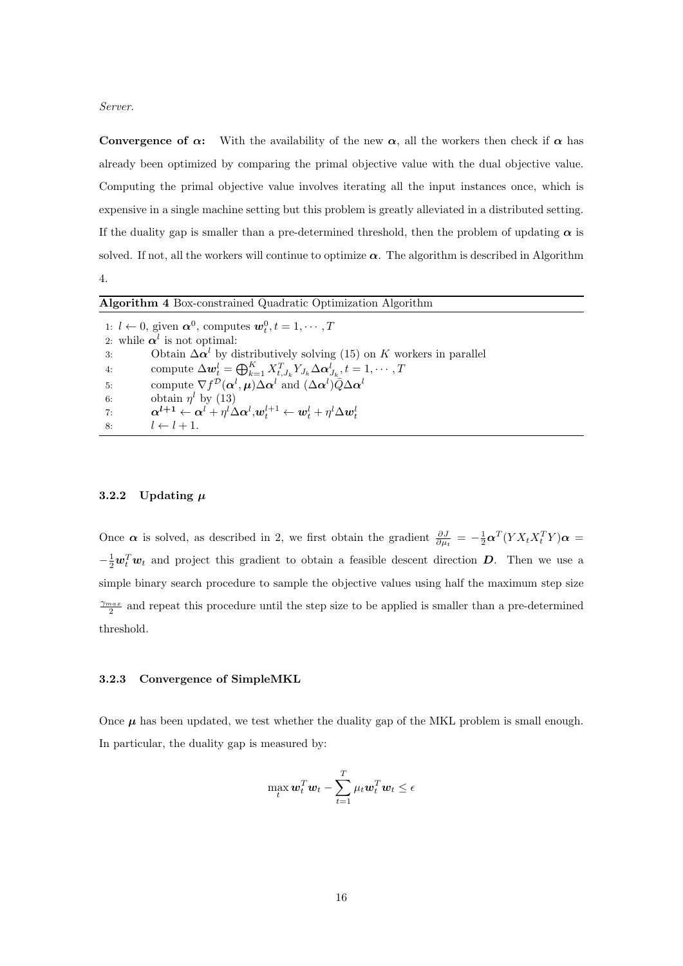Server.

Convergence of  $\alpha$ : With the availability of the new  $\alpha$ , all the workers then check if  $\alpha$  has already been optimized by comparing the primal objective value with the dual objective value. Computing the primal objective value involves iterating all the input instances once, which is expensive in a single machine setting but this problem is greatly alleviated in a distributed setting. If the duality gap is smaller than a pre-determined threshold, then the problem of updating  $\alpha$  is solved. If not, all the workers will continue to optimize  $\alpha$ . The algorithm is described in Algorithm 4.

| <b>Algorithm 4 Box-constrained Quadratic Optimization Algorithm</b> |                                                                                                                                                                                                            |  |  |
|---------------------------------------------------------------------|------------------------------------------------------------------------------------------------------------------------------------------------------------------------------------------------------------|--|--|
|                                                                     | 1: $l \leftarrow 0$ , given $\alpha^0$ , computes $w_t^0, t = 1, \dots, T$                                                                                                                                 |  |  |
|                                                                     | 2: while $\alpha^l$ is not optimal:                                                                                                                                                                        |  |  |
| 3:                                                                  | Obtain $\Delta \alpha^l$ by distributively solving (15) on K workers in parallel                                                                                                                           |  |  |
| 4:                                                                  | compute $\Delta \boldsymbol{w}_t^l = \bigoplus_{k=1}^K X_{t_l}^T X_{j_k} \Delta \boldsymbol{\alpha}_{j_k}^l, t = 1, \cdots, T$                                                                             |  |  |
| 5:                                                                  | compute $\nabla f^{\mathcal{D}}(\boldsymbol{\alpha}^{l}, \boldsymbol{\mu}) \Delta \boldsymbol{\alpha}^{l}$ and $(\Delta \boldsymbol{\alpha}^{l}) \overline{Q} \Delta \boldsymbol{\alpha}^{l}$              |  |  |
| 6:                                                                  | obtain $\eta^l$ by (13)                                                                                                                                                                                    |  |  |
| 7:                                                                  | $\boldsymbol{\alpha^{l+1}} \leftarrow \boldsymbol{\alpha}^{l} + \eta^{l}\Delta\boldsymbol{\alpha}^{l} , \boldsymbol{w}^{l+1}_{t} \leftarrow \boldsymbol{w}^{l}_{t} + \eta^{l}\Delta\boldsymbol{w}^{l}_{t}$ |  |  |
| 8:                                                                  | $l \leftarrow l + 1$ .                                                                                                                                                                                     |  |  |

# 3.2.2 Updating  $\mu$

Once  $\alpha$  is solved, as described in 2, we first obtain the gradient  $\frac{\partial J}{\partial \mu_t} = -\frac{1}{2} \alpha^T (Y X_t X_t^T Y) \alpha =$  $-\frac{1}{2}\boldsymbol{w}_t^T\boldsymbol{w}_t$  and project this gradient to obtain a feasible descent direction  $\boldsymbol{D}$ . Then we use a simple binary search procedure to sample the objective values using half the maximum step size  $\frac{\gamma_{max}}{2}$  and repeat this procedure until the step size to be applied is smaller than a pre-determined threshold.

#### 3.2.3 Convergence of SimpleMKL

Once  $\mu$  has been updated, we test whether the duality gap of the MKL problem is small enough. In particular, the duality gap is measured by:

$$
\max_{t} \mathbf{w}_t^T \mathbf{w}_t - \sum_{t=1}^T \mu_t \mathbf{w}_t^T \mathbf{w}_t \le \epsilon
$$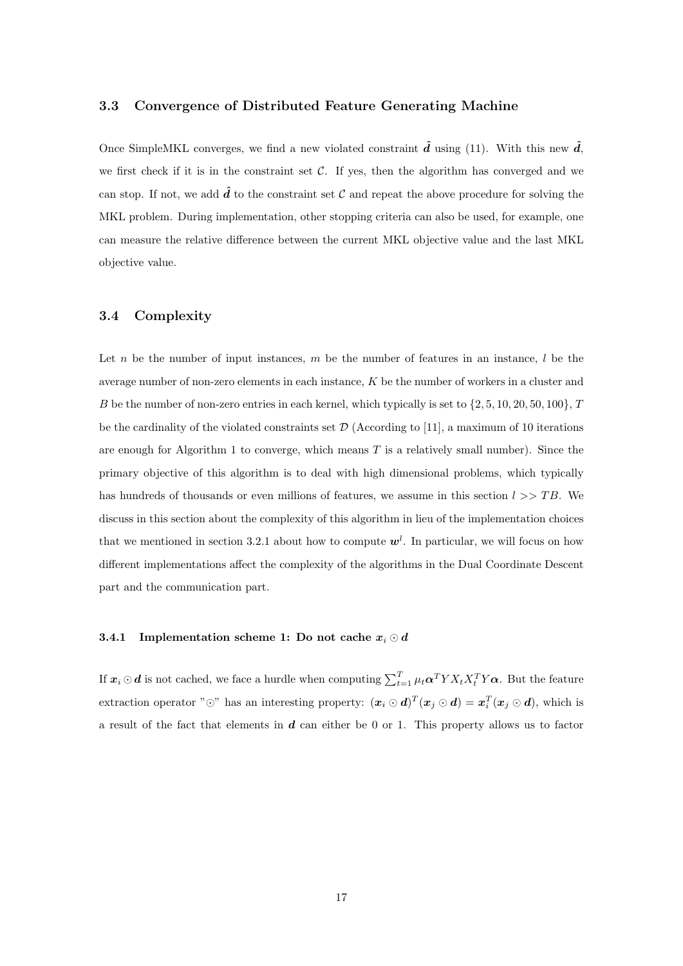# 3.3 Convergence of Distributed Feature Generating Machine

Once SimpleMKL converges, we find a new violated constraint  $\hat{d}$  using (11). With this new  $\hat{d}$ , we first check if it is in the constraint set  $C$ . If yes, then the algorithm has converged and we can stop. If not, we add  $\hat{d}$  to the constraint set C and repeat the above procedure for solving the MKL problem. During implementation, other stopping criteria can also be used, for example, one can measure the relative difference between the current MKL objective value and the last MKL objective value.

# 3.4 Complexity

Let n be the number of input instances,  $m$  be the number of features in an instance,  $l$  be the average number of non-zero elements in each instance, K be the number of workers in a cluster and B be the number of non-zero entries in each kernel, which typically is set to  $\{2, 5, 10, 20, 50, 100\}$ , T be the cardinality of the violated constraints set  $\mathcal{D}$  (According to [11], a maximum of 10 iterations are enough for Algorithm 1 to converge, which means  $T$  is a relatively small number). Since the primary objective of this algorithm is to deal with high dimensional problems, which typically has hundreds of thousands or even millions of features, we assume in this section  $l \gg TB$ . We discuss in this section about the complexity of this algorithm in lieu of the implementation choices that we mentioned in section 3.2.1 about how to compute  $w<sup>l</sup>$ . In particular, we will focus on how different implementations affect the complexity of the algorithms in the Dual Coordinate Descent part and the communication part.

#### 3.4.1 Implementation scheme 1: Do not cache  $x_i \odot d$

If  $x_i \odot d$  is not cached, we face a hurdle when computing  $\sum_{t=1}^T \mu_t \alpha^T Y X_t X_t^T Y \alpha$ . But the feature extraction operator " $\odot$ " has an interesting property:  $(x_i \odot d)^T (x_j \odot d) = x_i^T (x_j \odot d)$ , which is a result of the fact that elements in  $d$  can either be 0 or 1. This property allows us to factor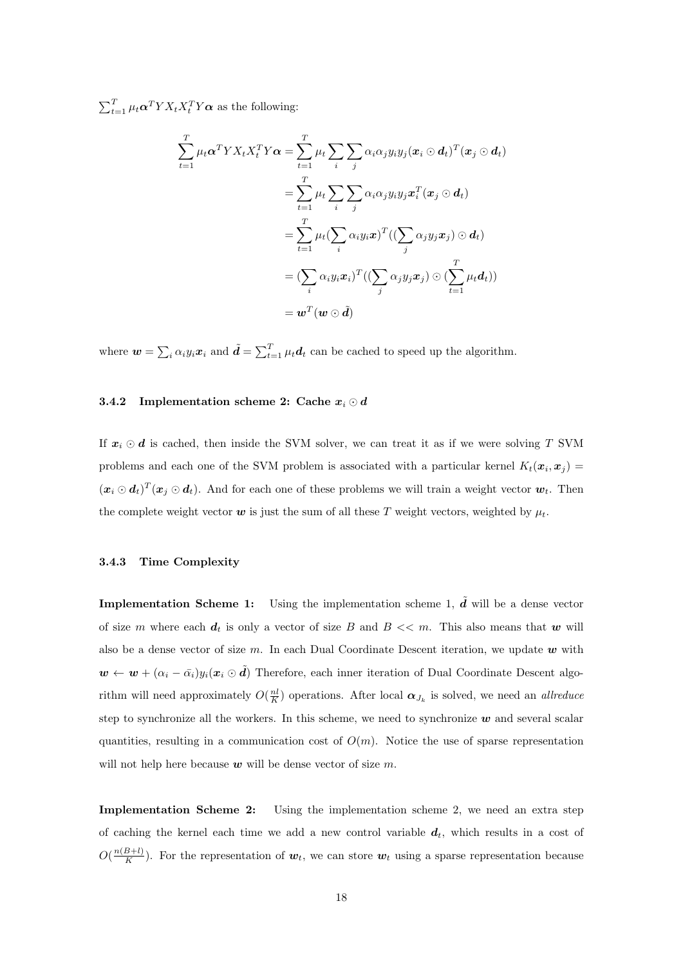$\sum_{t=1}^{T} \mu_t \alpha^T Y X_t X_t^T Y \alpha$  as the following:

$$
\sum_{t=1}^{T} \mu_t \alpha^T Y X_t X_t^T Y \alpha = \sum_{t=1}^{T} \mu_t \sum_{i} \sum_{j} \alpha_i \alpha_j y_i y_j (\boldsymbol{x}_i \odot \boldsymbol{d}_t)^T (\boldsymbol{x}_j \odot \boldsymbol{d}_t)
$$
\n
$$
= \sum_{t=1}^{T} \mu_t \sum_{i} \sum_{j} \alpha_i \alpha_j y_i y_j \boldsymbol{x}_i^T (\boldsymbol{x}_j \odot \boldsymbol{d}_t)
$$
\n
$$
= \sum_{t=1}^{T} \mu_t (\sum_{i} \alpha_i y_i \boldsymbol{x})^T ((\sum_{j} \alpha_j y_j \boldsymbol{x}_j) \odot \boldsymbol{d}_t)
$$
\n
$$
= (\sum_{i} \alpha_i y_i \boldsymbol{x}_i)^T ((\sum_{j} \alpha_j y_j \boldsymbol{x}_j) \odot (\sum_{t=1}^{T} \mu_t \boldsymbol{d}_t))
$$
\n
$$
= \boldsymbol{w}^T (\boldsymbol{w} \odot \tilde{\boldsymbol{d}})
$$

where  $\mathbf{w} = \sum_i \alpha_i y_i \mathbf{x}_i$  and  $\tilde{\mathbf{d}} = \sum_{t=1}^T \mu_t \mathbf{d}_t$  can be cached to speed up the algorithm.

#### 3.4.2 Implementation scheme 2: Cache  $x_i \odot d$

If  $x_i \odot d$  is cached, then inside the SVM solver, we can treat it as if we were solving T SVM problems and each one of the SVM problem is associated with a particular kernel  $K_t(\mathbf{x}_i, \mathbf{x}_j)$  $(\bm{x}_i \odot \bm{d}_t)^T (\bm{x}_j \odot \bm{d}_t)$ . And for each one of these problems we will train a weight vector  $\bm{w}_t$ . Then the complete weight vector  $w$  is just the sum of all these T weight vectors, weighted by  $\mu_t$ .

#### 3.4.3 Time Complexity

**Implementation Scheme 1:** Using the implementation scheme 1,  $\tilde{d}$  will be a dense vector of size m where each  $d_t$  is only a vector of size B and  $B \ll m$ . This also means that w will also be a dense vector of size m. In each Dual Coordinate Descent iteration, we update  $w$  with  $w \leftarrow w + (\alpha_i - \bar{\alpha}_i) y_i(x_i \odot \tilde{d})$  Therefore, each inner iteration of Dual Coordinate Descent algorithm will need approximately  $O(\frac{nl}{K})$  operations. After local  $\alpha_{J_k}$  is solved, we need an *allreduce* step to synchronize all the workers. In this scheme, we need to synchronize  $w$  and several scalar quantities, resulting in a communication cost of  $O(m)$ . Notice the use of sparse representation will not help here because  $w$  will be dense vector of size  $m$ .

Implementation Scheme 2: Using the implementation scheme 2, we need an extra step of caching the kernel each time we add a new control variable  $d_t$ , which results in a cost of  $O(\frac{n(B+l)}{K})$  $\frac{B+U}{K}$ ). For the representation of  $w_t$ , we can store  $w_t$  using a sparse representation because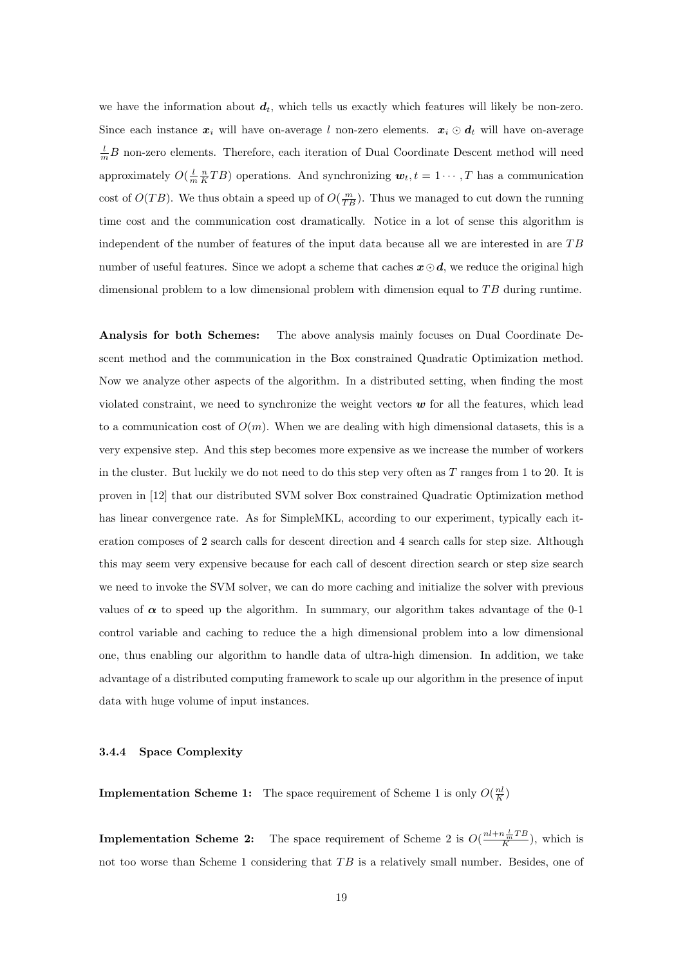we have the information about  $d_t$ , which tells us exactly which features will likely be non-zero. Since each instance  $x_i$  will have on-average l non-zero elements.  $x_i \odot d_t$  will have on-average  $\frac{l}{m}B$  non-zero elements. Therefore, each iteration of Dual Coordinate Descent method will need approximately  $O(\frac{l}{m}\frac{n}{K}TB)$  operations. And synchronizing  $w_t, t = 1 \cdots, T$  has a communication cost of  $O(TB)$ . We thus obtain a speed up of  $O(\frac{m}{TB})$ . Thus we managed to cut down the running time cost and the communication cost dramatically. Notice in a lot of sense this algorithm is independent of the number of features of the input data because all we are interested in are TB number of useful features. Since we adopt a scheme that caches  $x \odot d$ , we reduce the original high dimensional problem to a low dimensional problem with dimension equal to  $TB$  during runtime.

Analysis for both Schemes: The above analysis mainly focuses on Dual Coordinate Descent method and the communication in the Box constrained Quadratic Optimization method. Now we analyze other aspects of the algorithm. In a distributed setting, when finding the most violated constraint, we need to synchronize the weight vectors  $w$  for all the features, which lead to a communication cost of  $O(m)$ . When we are dealing with high dimensional datasets, this is a very expensive step. And this step becomes more expensive as we increase the number of workers in the cluster. But luckily we do not need to do this step very often as  $T$  ranges from 1 to 20. It is proven in [12] that our distributed SVM solver Box constrained Quadratic Optimization method has linear convergence rate. As for SimpleMKL, according to our experiment, typically each iteration composes of 2 search calls for descent direction and 4 search calls for step size. Although this may seem very expensive because for each call of descent direction search or step size search we need to invoke the SVM solver, we can do more caching and initialize the solver with previous values of  $\alpha$  to speed up the algorithm. In summary, our algorithm takes advantage of the 0-1 control variable and caching to reduce the a high dimensional problem into a low dimensional one, thus enabling our algorithm to handle data of ultra-high dimension. In addition, we take advantage of a distributed computing framework to scale up our algorithm in the presence of input data with huge volume of input instances.

#### 3.4.4 Space Complexity

**Implementation Scheme 1:** The space requirement of Scheme 1 is only  $O(\frac{nl}{K})$ 

**Implementation Scheme 2:** The space requirement of Scheme 2 is  $O(\frac{nl+n\frac{1}{m}TB}{K})$ , which is not too worse than Scheme 1 considering that  $TB$  is a relatively small number. Besides, one of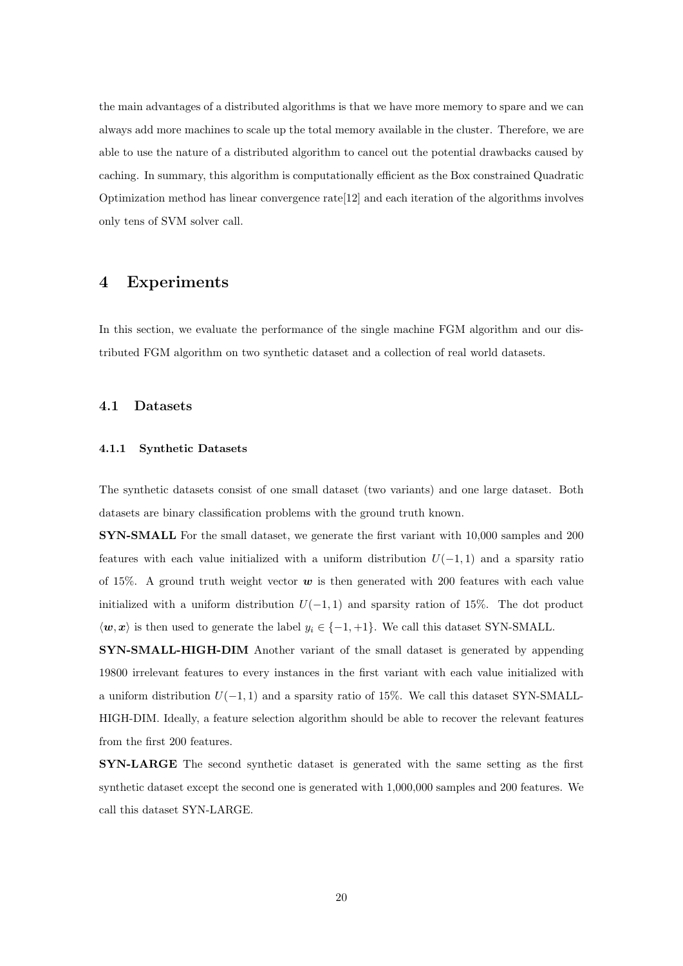the main advantages of a distributed algorithms is that we have more memory to spare and we can always add more machines to scale up the total memory available in the cluster. Therefore, we are able to use the nature of a distributed algorithm to cancel out the potential drawbacks caused by caching. In summary, this algorithm is computationally efficient as the Box constrained Quadratic Optimization method has linear convergence rate[12] and each iteration of the algorithms involves only tens of SVM solver call.

# 4 Experiments

In this section, we evaluate the performance of the single machine FGM algorithm and our distributed FGM algorithm on two synthetic dataset and a collection of real world datasets.

## 4.1 Datasets

#### 4.1.1 Synthetic Datasets

The synthetic datasets consist of one small dataset (two variants) and one large dataset. Both datasets are binary classification problems with the ground truth known.

SYN-SMALL For the small dataset, we generate the first variant with 10,000 samples and 200 features with each value initialized with a uniform distribution  $U(-1, 1)$  and a sparsity ratio of 15%. A ground truth weight vector  $w$  is then generated with 200 features with each value initialized with a uniform distribution  $U(-1, 1)$  and sparsity ration of 15%. The dot product  $\langle w, x \rangle$  is then used to generate the label  $y_i \in \{-1, +1\}$ . We call this dataset SYN-SMALL.

SYN-SMALL-HIGH-DIM Another variant of the small dataset is generated by appending 19800 irrelevant features to every instances in the first variant with each value initialized with a uniform distribution  $U(-1, 1)$  and a sparsity ratio of 15%. We call this dataset SYN-SMALL-HIGH-DIM. Ideally, a feature selection algorithm should be able to recover the relevant features from the first 200 features.

SYN-LARGE The second synthetic dataset is generated with the same setting as the first synthetic dataset except the second one is generated with 1,000,000 samples and 200 features. We call this dataset SYN-LARGE.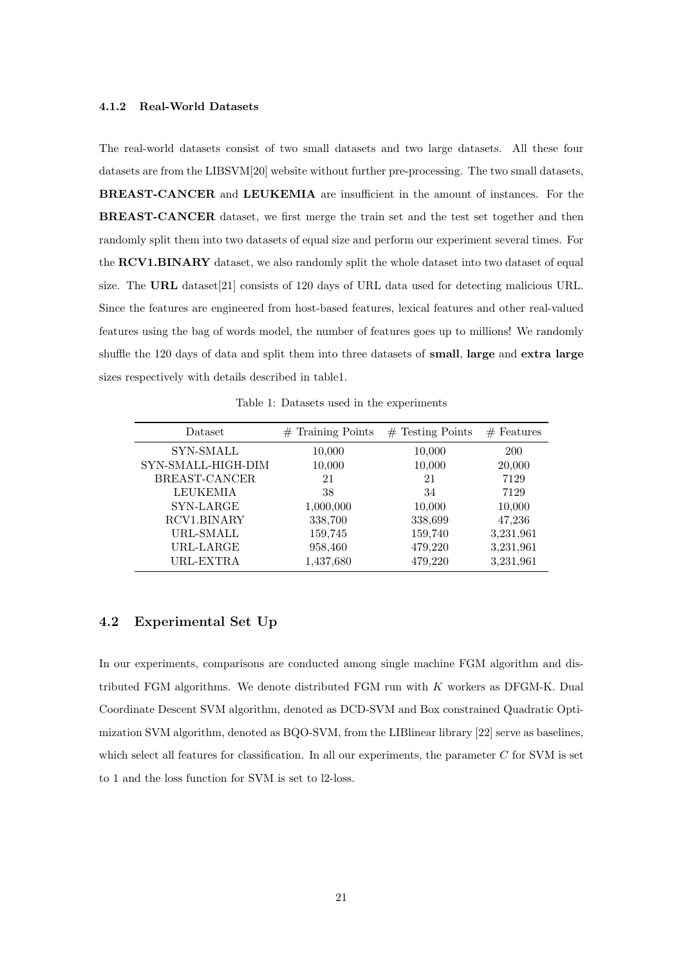#### 4.1.2 Real-World Datasets

The real-world datasets consist of two small datasets and two large datasets. All these four datasets are from the LIBSVM[20] website without further pre-processing. The two small datasets, BREAST-CANCER and LEUKEMIA are insufficient in the amount of instances. For the BREAST-CANCER dataset, we first merge the train set and the test set together and then randomly split them into two datasets of equal size and perform our experiment several times. For the RCV1.BINARY dataset, we also randomly split the whole dataset into two dataset of equal size. The URL dataset[21] consists of 120 days of URL data used for detecting malicious URL. Since the features are engineered from host-based features, lexical features and other real-valued features using the bag of words model, the number of features goes up to millions! We randomly shuffle the 120 days of data and split them into three datasets of small, large and extra large sizes respectively with details described in table1.

Table 1: Datasets used in the experiments

| Dataset            | $#$ Training Points | $#$ Testing Points | $#$ Features |
|--------------------|---------------------|--------------------|--------------|
| SYN-SMALL          | 10,000              | 10,000             | <b>200</b>   |
| SYN-SMALL-HIGH-DIM | 10,000              | 10,000             | 20,000       |
| BREAST-CANCER      | 21                  | 21                 | 7129         |
| <b>LEUKEMIA</b>    | 38                  | 34                 | 7129         |
| SYN-LARGE          | 1,000,000           | 10,000             | 10,000       |
| RCV1.BINARY        | 338,700             | 338,699            | 47,236       |
| URL-SMALL          | 159,745             | 159,740            | 3,231,961    |
| URL-LARGE          | 958,460             | 479,220            | 3,231,961    |
| URL-EXTRA          | 1,437,680           | 479,220            | 3,231,961    |

# 4.2 Experimental Set Up

In our experiments, comparisons are conducted among single machine FGM algorithm and distributed FGM algorithms. We denote distributed FGM run with K workers as DFGM-K. Dual Coordinate Descent SVM algorithm, denoted as DCD-SVM and Box constrained Quadratic Optimization SVM algorithm, denoted as BQO-SVM, from the LIBlinear library [22] serve as baselines, which select all features for classification. In all our experiments, the parameter C for SVM is set to 1 and the loss function for SVM is set to l2-loss.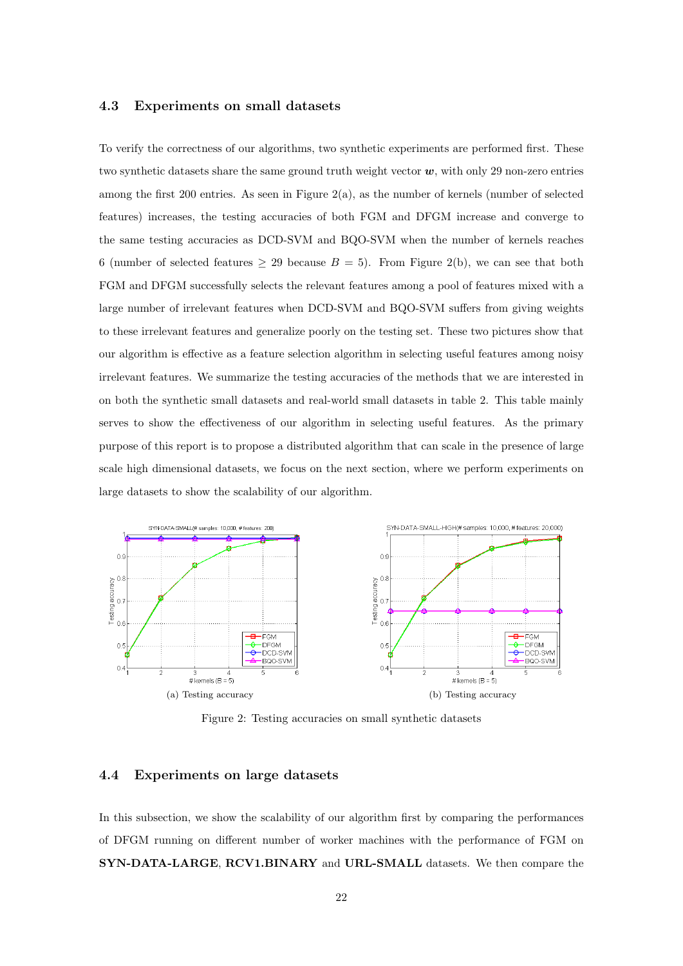# 4.3 Experiments on small datasets

To verify the correctness of our algorithms, two synthetic experiments are performed first. These two synthetic datasets share the same ground truth weight vector  $w$ , with only 29 non-zero entries among the first 200 entries. As seen in Figure 2(a), as the number of kernels (number of selected features) increases, the testing accuracies of both FGM and DFGM increase and converge to the same testing accuracies as DCD-SVM and BQO-SVM when the number of kernels reaches 6 (number of selected features  $\geq$  29 because  $B = 5$ ). From Figure 2(b), we can see that both FGM and DFGM successfully selects the relevant features among a pool of features mixed with a large number of irrelevant features when DCD-SVM and BQO-SVM suffers from giving weights to these irrelevant features and generalize poorly on the testing set. These two pictures show that our algorithm is effective as a feature selection algorithm in selecting useful features among noisy irrelevant features. We summarize the testing accuracies of the methods that we are interested in on both the synthetic small datasets and real-world small datasets in table 2. This table mainly serves to show the effectiveness of our algorithm in selecting useful features. As the primary purpose of this report is to propose a distributed algorithm that can scale in the presence of large scale high dimensional datasets, we focus on the next section, where we perform experiments on large datasets to show the scalability of our algorithm.



Figure 2: Testing accuracies on small synthetic datasets

# 4.4 Experiments on large datasets

In this subsection, we show the scalability of our algorithm first by comparing the performances of DFGM running on different number of worker machines with the performance of FGM on SYN-DATA-LARGE, RCV1.BINARY and URL-SMALL datasets. We then compare the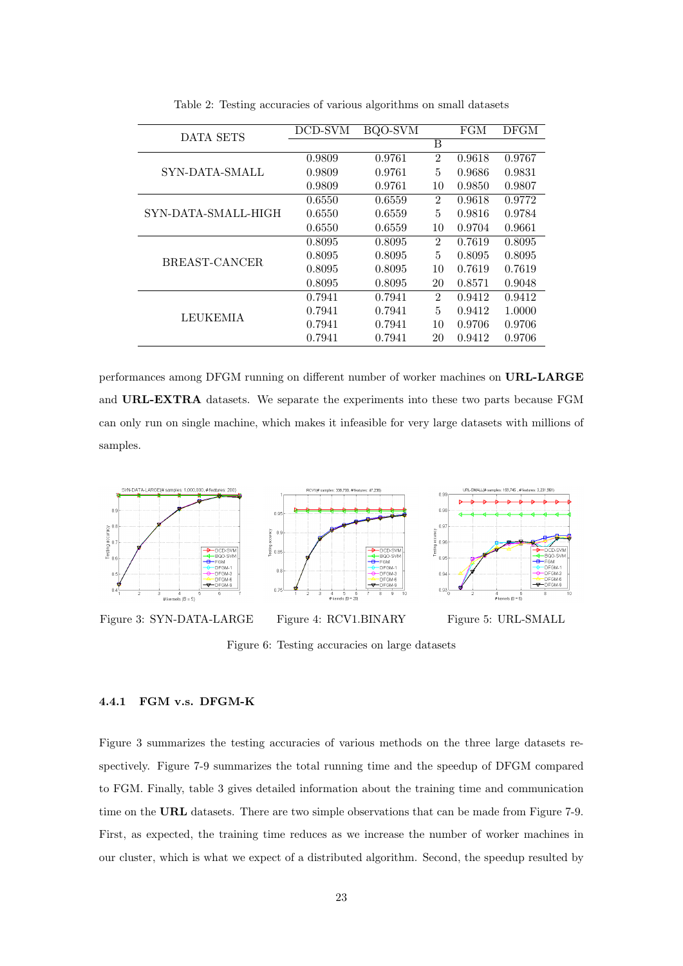| DATA SETS           | DCD-SVM | BQO-SVM |                | FGM    | DFGM   |
|---------------------|---------|---------|----------------|--------|--------|
|                     |         |         | B              |        |        |
| SYN-DATA-SMALL      | 0.9809  | 0.9761  | $\overline{2}$ | 0.9618 | 0.9767 |
|                     | 0.9809  | 0.9761  | 5              | 0.9686 | 0.9831 |
|                     | 0.9809  | 0.9761  | 10             | 0.9850 | 0.9807 |
| SYN-DATA-SMALL-HIGH | 0.6550  | 0.6559  | $\overline{2}$ | 0.9618 | 0.9772 |
|                     | 0.6550  | 0.6559  | 5              | 0.9816 | 0.9784 |
|                     | 0.6550  | 0.6559  | 10             | 0.9704 | 0.9661 |
|                     | 0.8095  | 0.8095  | $\overline{2}$ | 0.7619 | 0.8095 |
| BREAST-CANCER       | 0.8095  | 0.8095  | 5              | 0.8095 | 0.8095 |
|                     | 0.8095  | 0.8095  | 10             | 0.7619 | 0.7619 |
|                     | 0.8095  | 0.8095  | 20             | 0.8571 | 0.9048 |
| <b>LEUKEMIA</b>     | 0.7941  | 0.7941  | $\overline{2}$ | 0.9412 | 0.9412 |
|                     | 0.7941  | 0.7941  | 5              | 0.9412 | 1.0000 |
|                     | 0.7941  | 0.7941  | 10             | 0.9706 | 0.9706 |
|                     | 0.7941  | 0.7941  | 20             | 0.9412 | 0.9706 |

Table 2: Testing accuracies of various algorithms on small datasets

performances among DFGM running on different number of worker machines on URL-LARGE and URL-EXTRA datasets. We separate the experiments into these two parts because FGM can only run on single machine, which makes it infeasible for very large datasets with millions of samples.



Figure 6: Testing accuracies on large datasets

# 4.4.1 FGM v.s. DFGM-K

Figure 3 summarizes the testing accuracies of various methods on the three large datasets respectively. Figure 7-9 summarizes the total running time and the speedup of DFGM compared to FGM. Finally, table 3 gives detailed information about the training time and communication time on the URL datasets. There are two simple observations that can be made from Figure 7-9. First, as expected, the training time reduces as we increase the number of worker machines in our cluster, which is what we expect of a distributed algorithm. Second, the speedup resulted by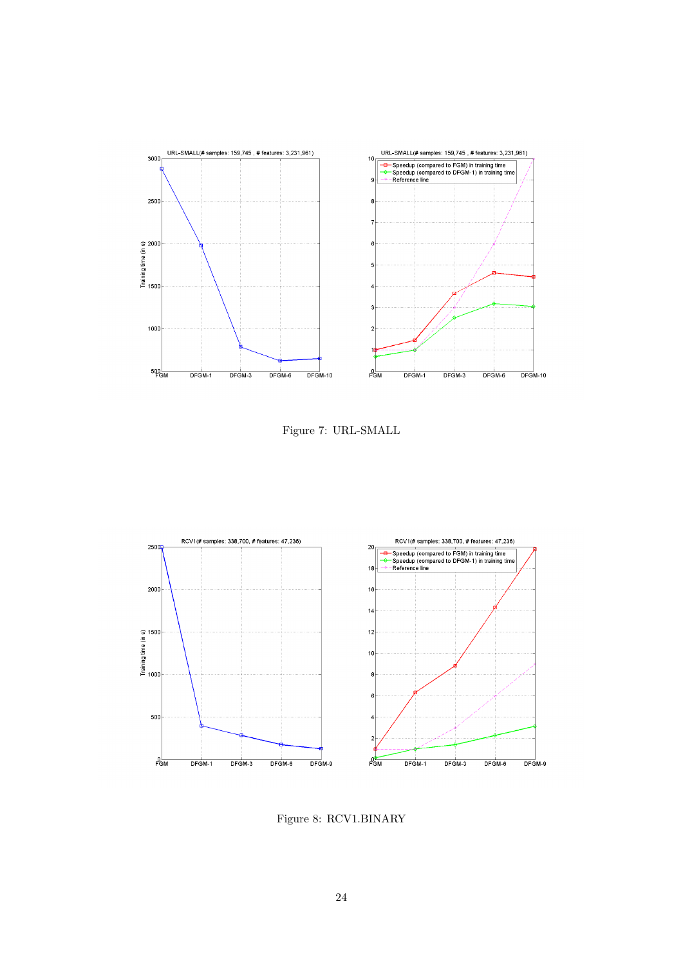

Figure 7: URL-SMALL



Figure 8: RCV1.BINARY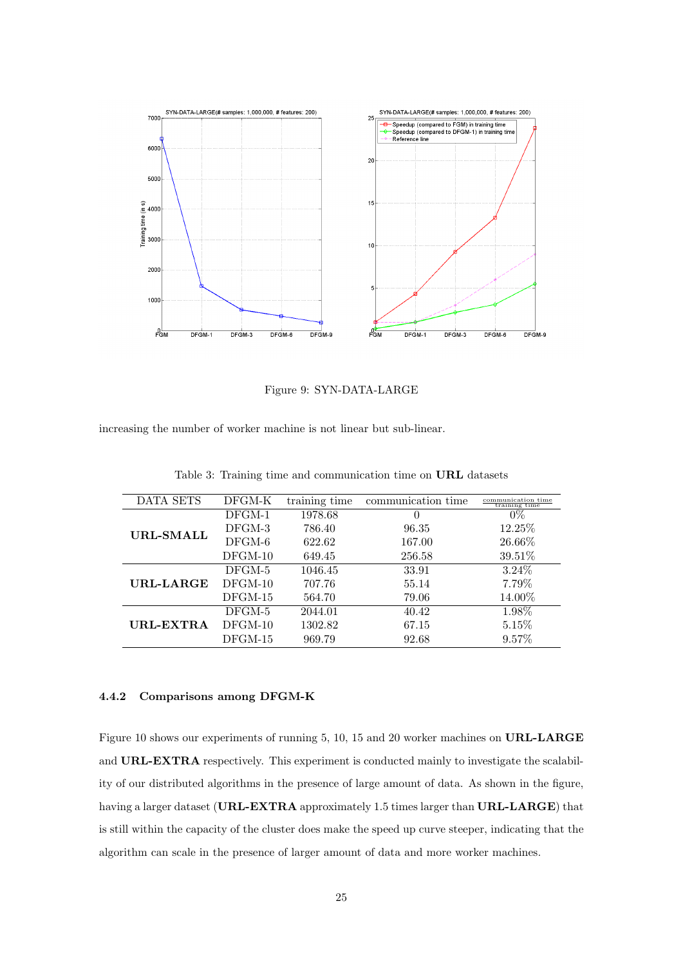

Figure 9: SYN-DATA-LARGE

increasing the number of worker machine is not linear but sub-linear.

| $DFGM-K$  | training time | communication time | communication time<br>training time |
|-----------|---------------|--------------------|-------------------------------------|
| $DFGM-1$  | 1978.68       | $\theta$           | $0\%$                               |
| DFGM-3    | 786.40        | 96.35              | 12.25\%                             |
| $DFGM-6$  | 622.62        | 167.00             | 26.66%                              |
| $DFGM-10$ | 649.45        | 256.58             | 39.51%                              |
| $DFGM-5$  | 1046.45       | 33.91              | $3.24\%$                            |
| $DFGM-10$ | 707.76        | 55.14              | 7.79%                               |
| $DFGM-15$ | 564.70        | 79.06              | 14.00%                              |
| DFGM-5    | 2044.01       | 40.42              | 1.98%                               |
| $DFGM-10$ | 1302.82       | 67.15              | $5.15\%$                            |
| $DFGM-15$ | 969.79        | 92.68              | 9.57%                               |
|           |               |                    |                                     |

Table 3: Training time and communication time on URL datasets

# 4.4.2 Comparisons among DFGM-K

Figure 10 shows our experiments of running 5, 10, 15 and 20 worker machines on URL-LARGE and URL-EXTRA respectively. This experiment is conducted mainly to investigate the scalability of our distributed algorithms in the presence of large amount of data. As shown in the figure, having a larger dataset (URL-EXTRA approximately 1.5 times larger than URL-LARGE) that is still within the capacity of the cluster does make the speed up curve steeper, indicating that the algorithm can scale in the presence of larger amount of data and more worker machines.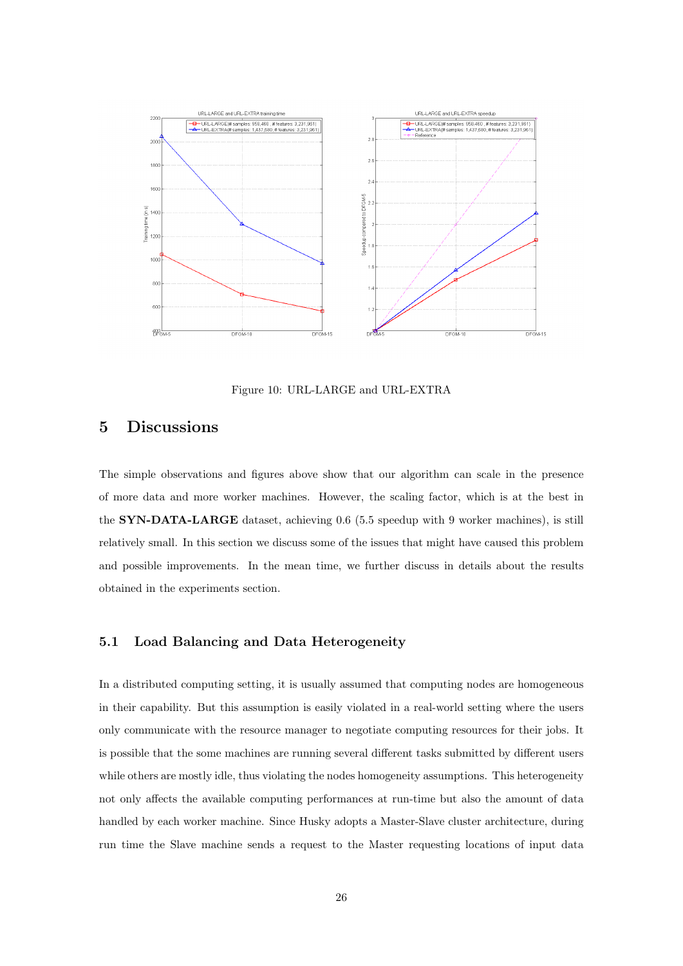

Figure 10: URL-LARGE and URL-EXTRA

# 5 Discussions

The simple observations and figures above show that our algorithm can scale in the presence of more data and more worker machines. However, the scaling factor, which is at the best in the SYN-DATA-LARGE dataset, achieving 0.6 (5.5 speedup with 9 worker machines), is still relatively small. In this section we discuss some of the issues that might have caused this problem and possible improvements. In the mean time, we further discuss in details about the results obtained in the experiments section.

# 5.1 Load Balancing and Data Heterogeneity

In a distributed computing setting, it is usually assumed that computing nodes are homogeneous in their capability. But this assumption is easily violated in a real-world setting where the users only communicate with the resource manager to negotiate computing resources for their jobs. It is possible that the some machines are running several different tasks submitted by different users while others are mostly idle, thus violating the nodes homogeneity assumptions. This heterogeneity not only affects the available computing performances at run-time but also the amount of data handled by each worker machine. Since Husky adopts a Master-Slave cluster architecture, during run time the Slave machine sends a request to the Master requesting locations of input data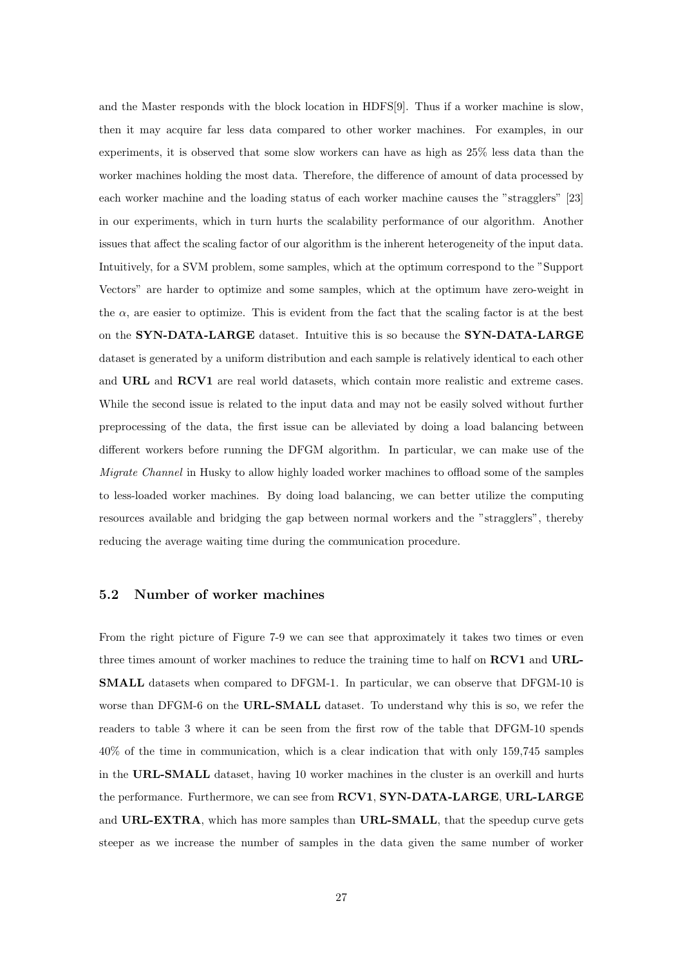and the Master responds with the block location in HDFS[9]. Thus if a worker machine is slow, then it may acquire far less data compared to other worker machines. For examples, in our experiments, it is observed that some slow workers can have as high as 25% less data than the worker machines holding the most data. Therefore, the difference of amount of data processed by each worker machine and the loading status of each worker machine causes the "stragglers" [23] in our experiments, which in turn hurts the scalability performance of our algorithm. Another issues that affect the scaling factor of our algorithm is the inherent heterogeneity of the input data. Intuitively, for a SVM problem, some samples, which at the optimum correspond to the "Support Vectors" are harder to optimize and some samples, which at the optimum have zero-weight in the  $\alpha$ , are easier to optimize. This is evident from the fact that the scaling factor is at the best on the SYN-DATA-LARGE dataset. Intuitive this is so because the SYN-DATA-LARGE dataset is generated by a uniform distribution and each sample is relatively identical to each other and URL and RCV1 are real world datasets, which contain more realistic and extreme cases. While the second issue is related to the input data and may not be easily solved without further preprocessing of the data, the first issue can be alleviated by doing a load balancing between different workers before running the DFGM algorithm. In particular, we can make use of the Migrate Channel in Husky to allow highly loaded worker machines to offload some of the samples to less-loaded worker machines. By doing load balancing, we can better utilize the computing resources available and bridging the gap between normal workers and the "stragglers", thereby reducing the average waiting time during the communication procedure.

# 5.2 Number of worker machines

From the right picture of Figure 7-9 we can see that approximately it takes two times or even three times amount of worker machines to reduce the training time to half on RCV1 and URL-SMALL datasets when compared to DFGM-1. In particular, we can observe that DFGM-10 is worse than DFGM-6 on the URL-SMALL dataset. To understand why this is so, we refer the readers to table 3 where it can be seen from the first row of the table that DFGM-10 spends 40% of the time in communication, which is a clear indication that with only 159,745 samples in the URL-SMALL dataset, having 10 worker machines in the cluster is an overkill and hurts the performance. Furthermore, we can see from RCV1, SYN-DATA-LARGE, URL-LARGE and URL-EXTRA, which has more samples than URL-SMALL, that the speedup curve gets steeper as we increase the number of samples in the data given the same number of worker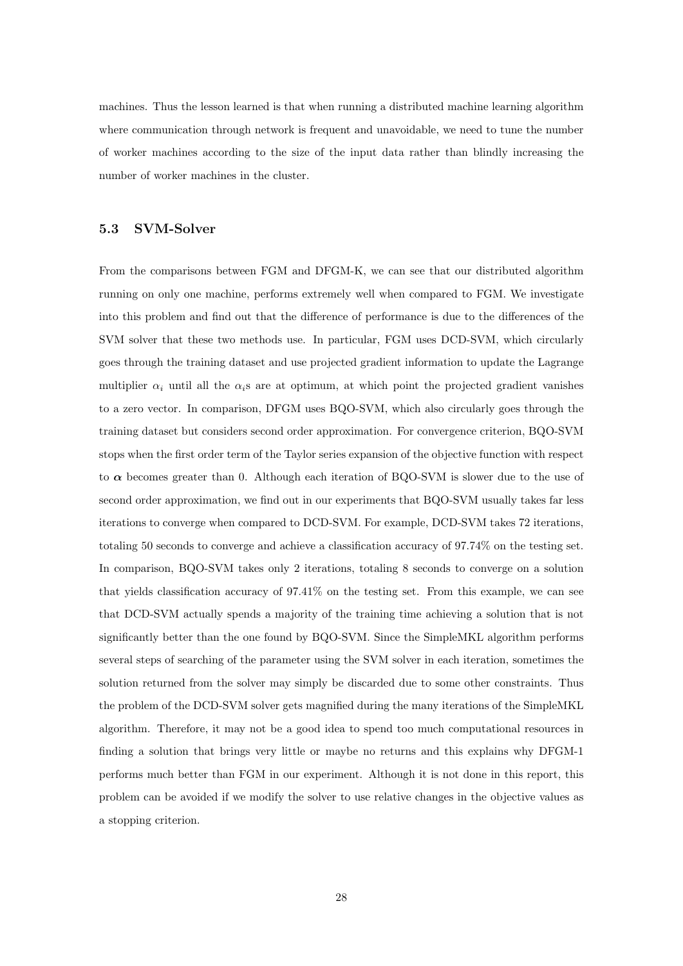machines. Thus the lesson learned is that when running a distributed machine learning algorithm where communication through network is frequent and unavoidable, we need to tune the number of worker machines according to the size of the input data rather than blindly increasing the number of worker machines in the cluster.

## 5.3 SVM-Solver

From the comparisons between FGM and DFGM-K, we can see that our distributed algorithm running on only one machine, performs extremely well when compared to FGM. We investigate into this problem and find out that the difference of performance is due to the differences of the SVM solver that these two methods use. In particular, FGM uses DCD-SVM, which circularly goes through the training dataset and use projected gradient information to update the Lagrange multiplier  $\alpha_i$  until all the  $\alpha_i$ s are at optimum, at which point the projected gradient vanishes to a zero vector. In comparison, DFGM uses BQO-SVM, which also circularly goes through the training dataset but considers second order approximation. For convergence criterion, BQO-SVM stops when the first order term of the Taylor series expansion of the objective function with respect to  $\alpha$  becomes greater than 0. Although each iteration of BQO-SVM is slower due to the use of second order approximation, we find out in our experiments that BQO-SVM usually takes far less iterations to converge when compared to DCD-SVM. For example, DCD-SVM takes 72 iterations, totaling 50 seconds to converge and achieve a classification accuracy of 97.74% on the testing set. In comparison, BQO-SVM takes only 2 iterations, totaling 8 seconds to converge on a solution that yields classification accuracy of 97.41% on the testing set. From this example, we can see that DCD-SVM actually spends a majority of the training time achieving a solution that is not significantly better than the one found by BQO-SVM. Since the SimpleMKL algorithm performs several steps of searching of the parameter using the SVM solver in each iteration, sometimes the solution returned from the solver may simply be discarded due to some other constraints. Thus the problem of the DCD-SVM solver gets magnified during the many iterations of the SimpleMKL algorithm. Therefore, it may not be a good idea to spend too much computational resources in finding a solution that brings very little or maybe no returns and this explains why DFGM-1 performs much better than FGM in our experiment. Although it is not done in this report, this problem can be avoided if we modify the solver to use relative changes in the objective values as a stopping criterion.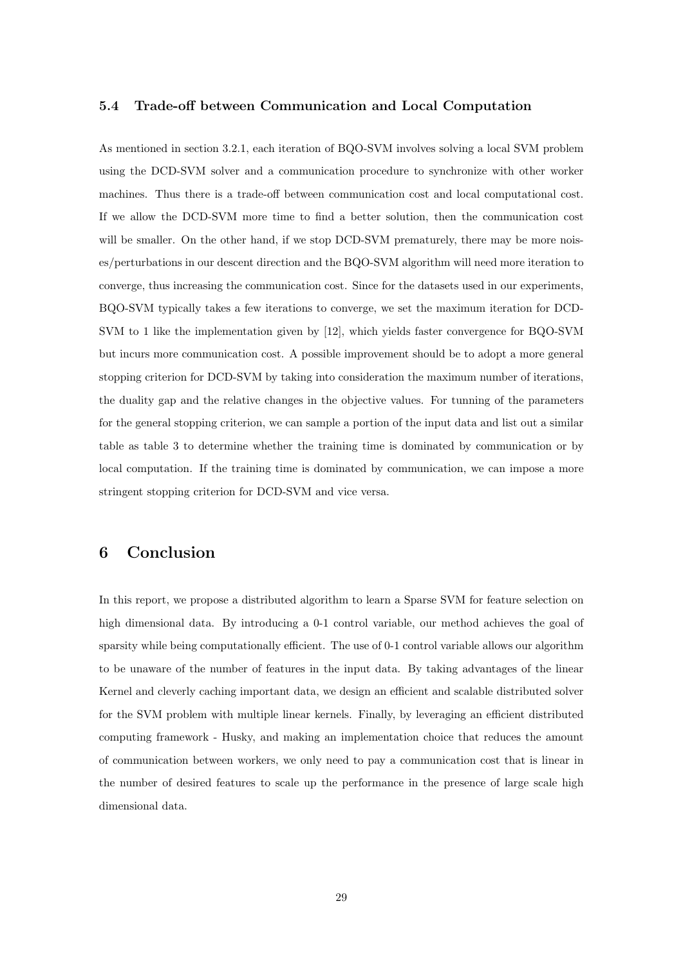# 5.4 Trade-off between Communication and Local Computation

As mentioned in section 3.2.1, each iteration of BQO-SVM involves solving a local SVM problem using the DCD-SVM solver and a communication procedure to synchronize with other worker machines. Thus there is a trade-off between communication cost and local computational cost. If we allow the DCD-SVM more time to find a better solution, then the communication cost will be smaller. On the other hand, if we stop DCD-SVM prematurely, there may be more noises/perturbations in our descent direction and the BQO-SVM algorithm will need more iteration to converge, thus increasing the communication cost. Since for the datasets used in our experiments, BQO-SVM typically takes a few iterations to converge, we set the maximum iteration for DCD-SVM to 1 like the implementation given by [12], which yields faster convergence for BQO-SVM but incurs more communication cost. A possible improvement should be to adopt a more general stopping criterion for DCD-SVM by taking into consideration the maximum number of iterations, the duality gap and the relative changes in the objective values. For tunning of the parameters for the general stopping criterion, we can sample a portion of the input data and list out a similar table as table 3 to determine whether the training time is dominated by communication or by local computation. If the training time is dominated by communication, we can impose a more stringent stopping criterion for DCD-SVM and vice versa.

# 6 Conclusion

In this report, we propose a distributed algorithm to learn a Sparse SVM for feature selection on high dimensional data. By introducing a 0-1 control variable, our method achieves the goal of sparsity while being computationally efficient. The use of 0-1 control variable allows our algorithm to be unaware of the number of features in the input data. By taking advantages of the linear Kernel and cleverly caching important data, we design an efficient and scalable distributed solver for the SVM problem with multiple linear kernels. Finally, by leveraging an efficient distributed computing framework - Husky, and making an implementation choice that reduces the amount of communication between workers, we only need to pay a communication cost that is linear in the number of desired features to scale up the performance in the presence of large scale high dimensional data.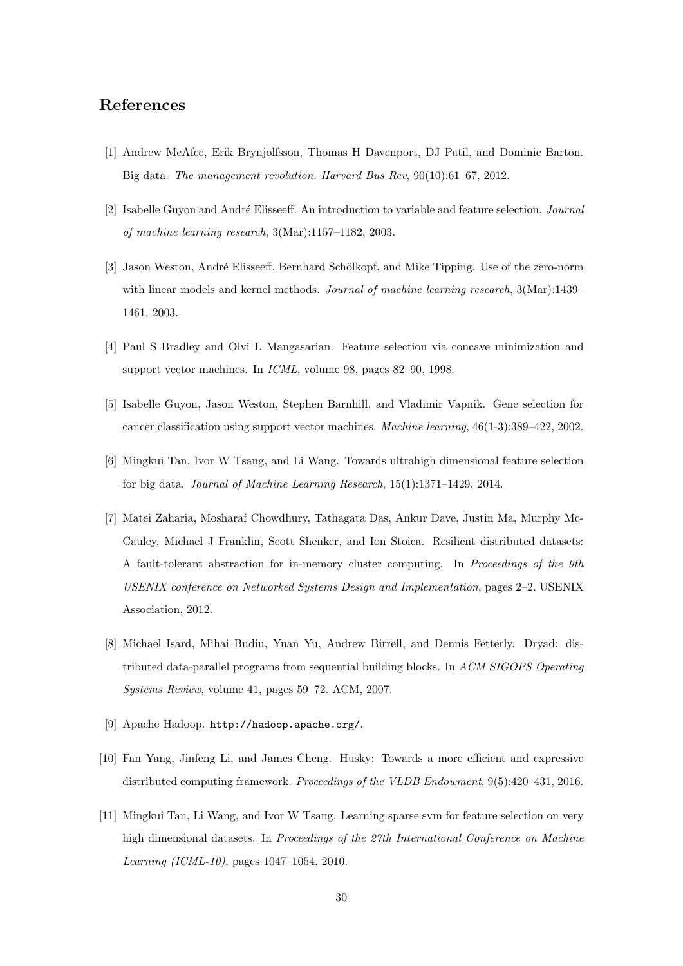# References

- [1] Andrew McAfee, Erik Brynjolfsson, Thomas H Davenport, DJ Patil, and Dominic Barton. Big data. The management revolution. Harvard Bus Rev, 90(10):61–67, 2012.
- [2] Isabelle Guyon and André Elisseeff. An introduction to variable and feature selection. Journal of machine learning research, 3(Mar):1157–1182, 2003.
- [3] Jason Weston, André Elisseeff, Bernhard Schölkopf, and Mike Tipping. Use of the zero-norm with linear models and kernel methods. Journal of machine learning research,  $3(Mar):1439-$ 1461, 2003.
- [4] Paul S Bradley and Olvi L Mangasarian. Feature selection via concave minimization and support vector machines. In ICML, volume 98, pages 82–90, 1998.
- [5] Isabelle Guyon, Jason Weston, Stephen Barnhill, and Vladimir Vapnik. Gene selection for cancer classification using support vector machines. Machine learning, 46(1-3):389–422, 2002.
- [6] Mingkui Tan, Ivor W Tsang, and Li Wang. Towards ultrahigh dimensional feature selection for big data. Journal of Machine Learning Research, 15(1):1371–1429, 2014.
- [7] Matei Zaharia, Mosharaf Chowdhury, Tathagata Das, Ankur Dave, Justin Ma, Murphy Mc-Cauley, Michael J Franklin, Scott Shenker, and Ion Stoica. Resilient distributed datasets: A fault-tolerant abstraction for in-memory cluster computing. In Proceedings of the 9th USENIX conference on Networked Systems Design and Implementation, pages 2–2. USENIX Association, 2012.
- [8] Michael Isard, Mihai Budiu, Yuan Yu, Andrew Birrell, and Dennis Fetterly. Dryad: distributed data-parallel programs from sequential building blocks. In ACM SIGOPS Operating Systems Review, volume 41, pages 59–72. ACM, 2007.
- [9] Apache Hadoop. http://hadoop.apache.org/.
- [10] Fan Yang, Jinfeng Li, and James Cheng. Husky: Towards a more efficient and expressive distributed computing framework. Proceedings of the VLDB Endowment, 9(5):420–431, 2016.
- [11] Mingkui Tan, Li Wang, and Ivor W Tsang. Learning sparse svm for feature selection on very high dimensional datasets. In Proceedings of the 27th International Conference on Machine Learning (ICML-10), pages 1047–1054, 2010.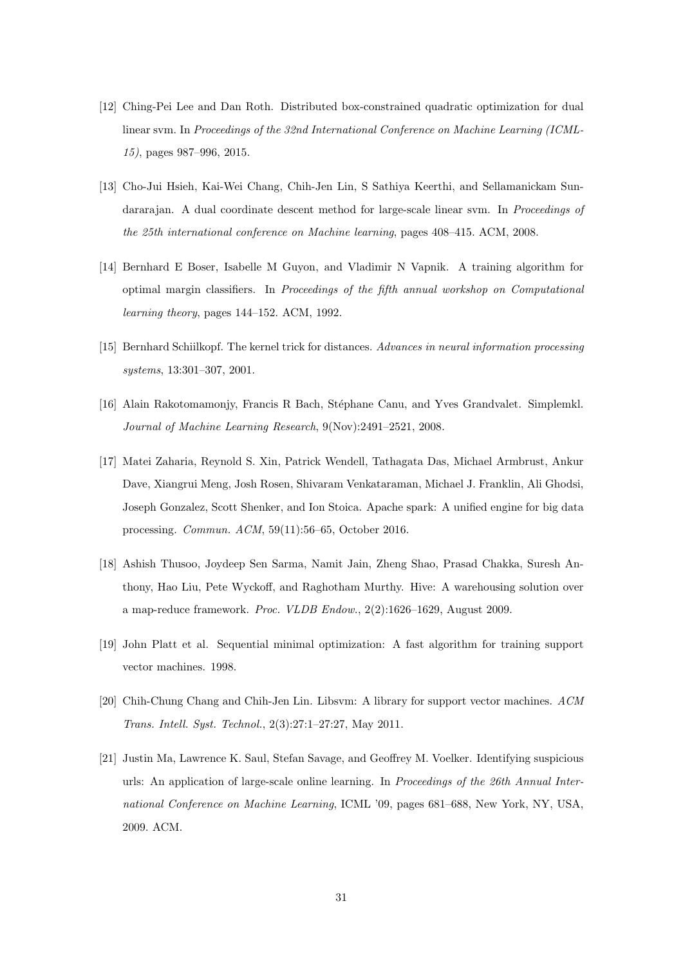- [12] Ching-Pei Lee and Dan Roth. Distributed box-constrained quadratic optimization for dual linear svm. In Proceedings of the 32nd International Conference on Machine Learning (ICML-15), pages 987–996, 2015.
- [13] Cho-Jui Hsieh, Kai-Wei Chang, Chih-Jen Lin, S Sathiya Keerthi, and Sellamanickam Sundararajan. A dual coordinate descent method for large-scale linear sym. In *Proceedings of* the 25th international conference on Machine learning, pages 408–415. ACM, 2008.
- [14] Bernhard E Boser, Isabelle M Guyon, and Vladimir N Vapnik. A training algorithm for optimal margin classifiers. In Proceedings of the fifth annual workshop on Computational learning theory, pages 144–152. ACM, 1992.
- [15] Bernhard Schiilkopf. The kernel trick for distances. Advances in neural information processing systems, 13:301–307, 2001.
- [16] Alain Rakotomamonjy, Francis R Bach, Stéphane Canu, and Yves Grandvalet. Simplemkl. Journal of Machine Learning Research, 9(Nov):2491–2521, 2008.
- [17] Matei Zaharia, Reynold S. Xin, Patrick Wendell, Tathagata Das, Michael Armbrust, Ankur Dave, Xiangrui Meng, Josh Rosen, Shivaram Venkataraman, Michael J. Franklin, Ali Ghodsi, Joseph Gonzalez, Scott Shenker, and Ion Stoica. Apache spark: A unified engine for big data processing. Commun. ACM, 59(11):56–65, October 2016.
- [18] Ashish Thusoo, Joydeep Sen Sarma, Namit Jain, Zheng Shao, Prasad Chakka, Suresh Anthony, Hao Liu, Pete Wyckoff, and Raghotham Murthy. Hive: A warehousing solution over a map-reduce framework. Proc. VLDB Endow., 2(2):1626–1629, August 2009.
- [19] John Platt et al. Sequential minimal optimization: A fast algorithm for training support vector machines. 1998.
- [20] Chih-Chung Chang and Chih-Jen Lin. Libsvm: A library for support vector machines. ACM Trans. Intell. Syst. Technol., 2(3):27:1–27:27, May 2011.
- [21] Justin Ma, Lawrence K. Saul, Stefan Savage, and Geoffrey M. Voelker. Identifying suspicious urls: An application of large-scale online learning. In Proceedings of the 26th Annual International Conference on Machine Learning, ICML '09, pages 681–688, New York, NY, USA, 2009. ACM.